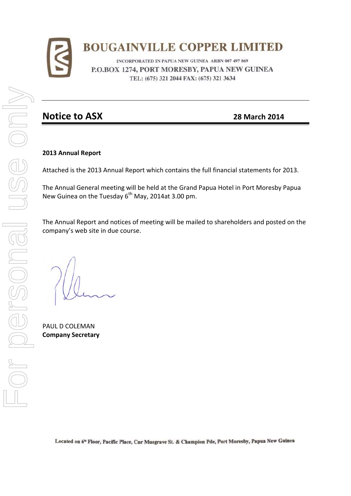

# **BOUGAINVILLE COPPER LIMITED**

INCORPORATED IN PAPUA NEW GUINEA ARBN 007 497 869 P.O.BOX 1274, PORT MORESBY, PAPUA NEW GUINEA TEL: (675) 321 2044 FAX: (675) 321 3634

# **Notice to ASX 28 March 2014**

# **2013 Annual Report**

Attached is the 2013 Annual Report which contains the full financial statements for 2013.

The Annual General meeting will be held at the Grand Papua Hotel in Port Moresby Papua New Guinea on the Tuesday  $6^{th}$  May, 2014at 3.00 pm.

The Annual Report and notices of meeting will be mailed to shareholders and posted on the company's web site in due course.

PAUL D COLEMAN **Company Secretary**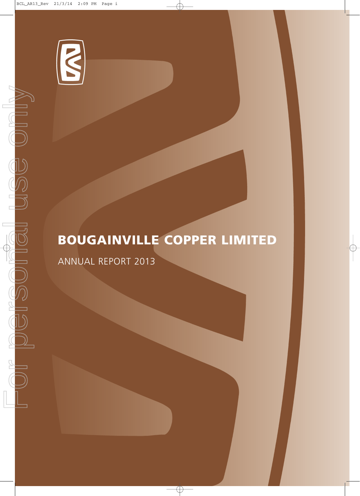B

# **BOUGAINVILLE COPPER LIMITED**

 $\bigoplus$ 

ANNUAL REPORT 2013

 $\sum$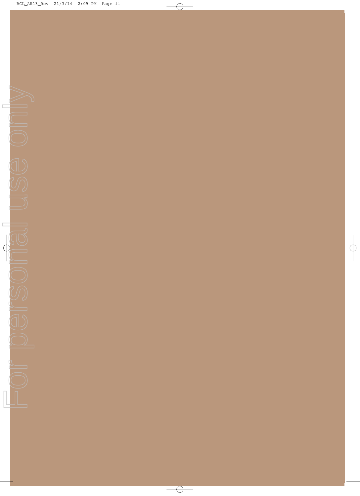$\sim$ 

 $\overline{\bigoplus}$ 

 $\overline{\varphi}$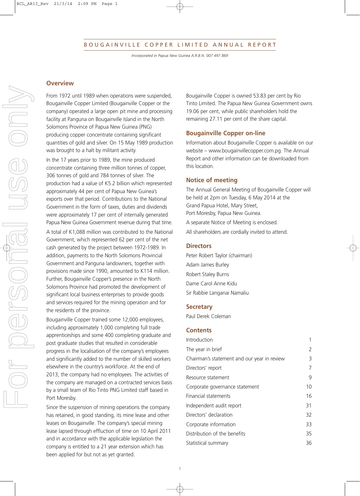*Incorporated in Papua New Guinea A.R.B.N. 007 497 869*

# For personal use only**SONS** USICIO

#### **Overview**

From 1972 until 1989 when operations were suspended, Bougainville Copper Limited (Bougainville Copper or the company) operated a large open pit mine and processing facility at Panguna on Bougainville Island in the North Solomons Province of Papua New Guinea (PNG) producing copper concentrate containing significant quantities of gold and silver. On 15 May 1989 production was brought to a halt by militant activity.

In the 17 years prior to 1989, the mine produced concentrate containing three million tonnes of copper, 306 tonnes of gold and 784 tonnes of silver. The production had a value of K5.2 billion which represented approximately 44 per cent of Papua New Guinea's exports over that period. Contributions to the National Government in the form of taxes, duties and dividends were approximately 17 per cent of internally generated Papua New Guinea Government revenue during that time. A total of K1,088 million was contributed to the National Government, which represented 62 per cent of the net cash generated by the project between 1972-1989. In addition, payments to the North Solomons Provincial Government and Panguna landowners, together with provisions made since 1990, amounted to K114 million. Further, Bougainville Copper's presence in the North Solomons Province had promoted the development of significant local business enterprises to provide goods and services required for the mining operation and for the residents of the province.

Bougainville Copper trained some 12,000 employees, including approximately 1,000 completing full trade apprenticeships and some 400 completing graduate and post graduate studies that resulted in considerable progress in the localisation of the company's employees and significantly added to the number of skilled workers elsewhere in the country's workforce. At the end of 2013, the company had no employees. The activities of the company are managed on a contracted services basis by a small team of Rio Tinto PNG Limited staff based in Port Moresby.

Since the suspension of mining operations the company has retained, in good standing, its mine lease and other leases on Bougainville. The company's special mining lease lapsed through effluction of time on 10 April 2011 and in accordance with the applicable legislation the company is entitled to a 21 year extension which has been applied for but not as yet granted.

Bougainville Copper is owned 53.83 per cent by Rio Tinto Limited. The Papua New Guinea Government owns 19.06 per cent, while public shareholders hold the remaining 27.11 per cent of the share capital.

#### **Bougainville Copper on-line**

Information about Bougainville Copper is available on our website – www.bougainvillecopper.com.pg. The Annual Report and other information can be downloaded from this location.

#### **Notice of meeting**

The Annual General Meeting of Bougainville Copper will be held at 2pm on Tuesday, 6 May 2014 at the Grand Papua Hotel, Mary Street, Port Moresby, Papua New Guinea.

A separate Notice of Meeting is enclosed.

All shareholders are cordially invited to attend.

#### **Directors**

Peter Robert Taylor (chairman) Adam James Burley Robert Staley Burns Dame Carol Anne Kidu Sir Rabbie Langanai Namaliu

#### **Secretary**

Paul Derek Coleman

#### **Contents**

| 1  |
|----|
| 2  |
| 3  |
| 7  |
| 9  |
| 10 |
| 16 |
| 31 |
| 32 |
| 33 |
| 35 |
| 36 |
|    |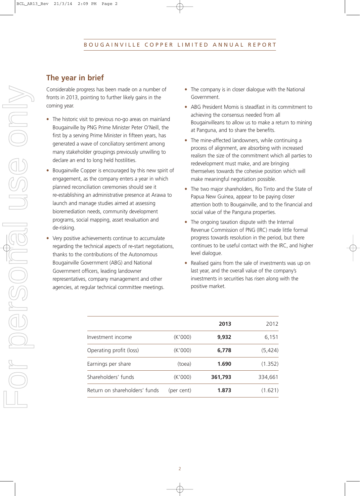# For personal use only

# **The year in brief**

Considerable progress has been made on a number of fronts in 2013, pointing to further likely gains in the coming year.

- **•** The historic visit to previous no-go areas on mainland Bougainville by PNG Prime Minister Peter O'Neill, the first by a serving Prime Minister in fifteen years, has generated a wave of conciliatory sentiment among many stakeholder groupings previously unwilling to declare an end to long held hostilities.
- **•** Bougainville Copper is encouraged by this new spirit of engagement, as the company enters a year in which planned reconciliation ceremonies should see it re-establishing an administrative presence at Arawa to launch and manage studies aimed at assessing bioremediation needs, community development programs, social mapping, asset revaluation and de-risking.
- **•** Very positive achievements continue to accumulate regarding the technical aspects of re-start negotiations, thanks to the contributions of the Autonomous Bougainville Government (ABG) and National Government officers, leading landowner representatives, company management and other agencies, at regular technical committee meetings.
- **•** The company is in closer dialogue with the National Government.
- **•** ABG President Momis is steadfast in its commitment to achieving the consensus needed from all Bougainvilleans to allow us to make a return to mining at Panguna, and to share the benefits.
- **•** The mine-affected landowners, while continuing a process of alignment, are absorbing with increased realism the size of the commitment which all parties to redevelopment must make, and are bringing themselves towards the cohesive position which will make meaningful negotiation possible.
- **•** The two major shareholders, Rio Tinto and the State of Papua New Guinea, appear to be paying closer attention both to Bougainville, and to the financial and social value of the Panguna properties.
- **•** The ongoing taxation dispute with the Internal Revenue Commission of PNG (IRC) made little formal progress towards resolution in the period, but there continues to be useful contact with the IRC, and higher level dialogue.
- **•** Realised gains from the sale of investments was up on last year, and the overall value of the company's investments in securities has risen along with the positive market.

|                               |            | 2013    | 2012    |
|-------------------------------|------------|---------|---------|
| Investment income             | (K'000)    | 9,932   | 6,151   |
| Operating profit (loss)       | (K'000)    | 6,778   | (5,424) |
| Earnings per share            | (toea)     | 1.690   | (1.352) |
| Shareholders' funds           | (K'000)    | 361,793 | 334,661 |
| Return on shareholders' funds | (per cent) | 1.873   | (1.621) |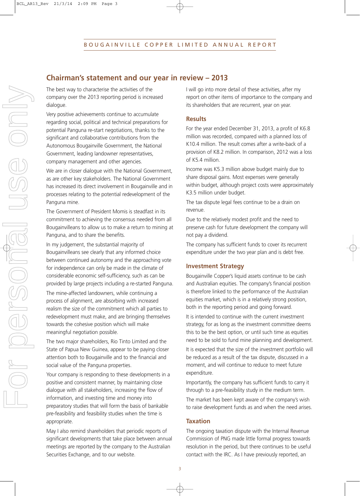#### **Chairman's statement and our year in review – 2013**

The best way to characterise the activities of the company over the 2013 reporting period is increased dialogue.

Very positive achievements continue to accumulate regarding social, political and technical preparations for potential Panguna re-start negotiations, thanks to the significant and collaborative contributions from the Autonomous Bougainville Government, the National Government, leading landowner representatives, company management and other agencies.

We are in closer dialogue with the National Government, as are other key stakeholders. The National Government has increased its direct involvement in Bougainville and in processes relating to the potential redevelopment of the Panguna mine.

The Government of President Momis is steadfast in its commitment to achieving the consensus needed from all Bougainvilleans to allow us to make a return to mining at Panguna, and to share the benefits.

In my judgement, the substantial majority of Bougainvilleans see clearly that any informed choice between continued autonomy and the approaching vote for independence can only be made in the climate of considerable economic self-sufficiency, such as can be provided by large projects including a re-started Panguna.

The mine-affected landowners, while continuing a process of alignment, are absorbing with increased realism the size of the commitment which all parties to redevelopment must make, and are bringing themselves towards the cohesive position which will make meaningful negotiation possible.

The two major shareholders, Rio Tinto Limited and the State of Papua New Guinea, appear to be paying closer attention both to Bougainville and to the financial and social value of the Panguna properties.

Your company is responding to these developments in a positive and consistent manner, by maintaining close dialogue with all stakeholders, increasing the flow of information, and investing time and money into preparatory studies that will form the basis of bankable pre-feasibility and feasibility studies when the time is appropriate.

May I also remind shareholders that periodic reports of significant developments that take place between annual meetings are reported by the company to the Australian Securities Exchange, and to our website.

I will go into more detail of these activities, after my report on other items of importance to the company and its shareholders that are recurrent, year on year.

#### **Results**

For the year ended December 31, 2013, a profit of K6.8 million was recorded, compared with a planned loss of K10.4 million. The result comes after a write-back of a provision of K8.2 million. In comparison, 2012 was a loss of K5.4 million.

Income was K5.3 million above budget mainly due to share disposal gains. Most expenses were generally within budget, although project costs were approximately K3.5 million under budget.

The tax dispute legal fees continue to be a drain on revenue.

Due to the relatively modest profit and the need to preserve cash for future development the company will not pay a dividend.

The company has sufficient funds to cover its recurrent expenditure under the two year plan and is debt free.

#### **Investment Strategy**

Bougainville Copper's liquid assets continue to be cash and Australian equities. The company's financial position is therefore linked to the performance of the Australian equities market, which is in a relatively strong position, both in the reporting period and going forward.

It is intended to continue with the current investment strategy, for as long as the investment committee deems this to be the best option, or until such time as equities need to be sold to fund mine planning and development.

It is expected that the size of the investment portfolio will be reduced as a result of the tax dispute, discussed in a moment, and will continue to reduce to meet future expenditure.

Importantly, the company has sufficient funds to carry it through to a pre-feasibility study in the medium term. The market has been kept aware of the company's wish to raise development funds as and when the need arises.

#### **Taxation**

The ongoing taxation dispute with the Internal Revenue Commission of PNG made little formal progress towards resolution in the period, but there continues to be useful contact with the IRC. As I have previously reported, an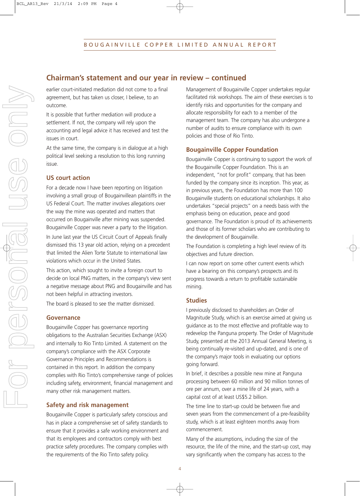#### **Chairman's statement and our year in review – continued**

earlier court-initiated mediation did not come to a final agreement, but has taken us closer, I believe, to an outcome.

It is possible that further mediation will produce a settlement. If not, the company will rely upon the accounting and legal advice it has received and test the issues in court.

At the same time, the company is in dialogue at a high political level seeking a resolution to this long running issue.

#### **US court action**

For a decade now I have been reporting on litigation involving a small group of Bougainvillean plaintiffs in the US Federal Court. The matter involves allegations over the way the mine was operated and matters that occurred on Bougainville after mining was suspended. Bougainville Copper was never a party to the litigation.

In June last year the US Circuit Court of Appeals finally dismissed this 13 year old action, relying on a precedent that limited the Alien Torte Statute to international law violations which occur in the United States.

This action, which sought to invite a foreign court to decide on local PNG matters, in the company's view sent a negative message about PNG and Bougainville and has not been helpful in attracting investors.

The board is pleased to see the matter dismissed.

#### **Governance**

Bougainville Copper has governance reporting obligations to the Australian Securities Exchange (ASX) and internally to Rio Tinto Limited. A statement on the company's compliance with the ASX Corporate Governance Principles and Recommendations is contained in this report. In addition the company complies with Rio Tinto's comprehensive range of policies including safety, environment, financial management and many other risk management matters.

#### **Safety and risk management**

Bougainville Copper is particularly safety conscious and has in place a comprehensive set of safety standards to ensure that it provides a safe working environment and that its employees and contractors comply with best practice safety procedures. The company complies with the requirements of the Rio Tinto safety policy.

Management of Bougainville Copper undertakes regular facilitated risk workshops. The aim of these exercises is to identify risks and opportunities for the company and allocate responsibility for each to a member of the management team. The company has also undergone a number of audits to ensure compliance with its own policies and those of Rio Tinto.

#### **Bougainville Copper Foundation**

Bougainville Copper is continuing to support the work of the Bougainville Copper Foundation. This is an independent, "not for profit" company, that has been funded by the company since its inception. This year, as in previous years, the Foundation has more than 100 Bougainville students on educational scholarships. It also undertakes "special projects" on a needs basis with the emphasis being on education, peace and good governance. The Foundation is proud of its achievements and those of its former scholars who are contributing to the development of Bougainville.

The Foundation is completing a high level review of its objectives and future direction.

I can now report on some other current events which have a bearing on this company's prospects and its progress towards a return to profitable sustainable mining.

#### **Studies**

I previously disclosed to shareholders an Order of Magnitude Study, which is an exercise aimed at giving us guidance as to the most effective and profitable way to redevelop the Panguna property. The Order of Magnitude Study, presented at the 2013 Annual General Meeting, is being continually re-visited and up-dated, and is one of the company's major tools in evaluating our options going forward.

In brief, it describes a possible new mine at Panguna processing between 60 million and 90 million tonnes of ore per annum, over a mine life of 24 years, with a capital cost of at least US\$5.2 billion.

The time line to start-up could be between five and seven years from the commencement of a pre-feasibility study, which is at least eighteen months away from commencement.

Many of the assumptions, including the size of the resource, the life of the mine, and the start-up cost, may vary significantly when the company has access to the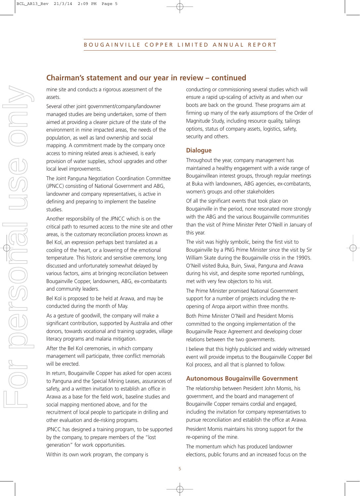#### **Chairman's statement and our year in review – continued**

mine site and conducts a rigorous assessment of the assets.

Several other joint government/company/landowner managed studies are being undertaken, some of them aimed at providing a clearer picture of the state of the environment in mine impacted areas, the needs of the population, as well as land ownership and social mapping. A commitment made by the company once access to mining related areas is achieved, is early provision of water supplies, school upgrades and other local level improvements.

The Joint Panguna Negotiation Coordination Committee (JPNCC) consisting of National Government and ABG, landowner and company representatives, is active in defining and preparing to implement the baseline studies.

Another responsibility of the JPNCC which is on the critical path to resumed access to the mine site and other areas, is the customary reconciliation process known as Bel Kol, an expression perhaps best translated as a cooling of the heart, or a lowering of the emotional temperature. This historic and sensitive ceremony, long discussed and unfortunately somewhat delayed by various factors, aims at bringing reconciliation between Bougainville Copper, landowners, ABG, ex-combatants and community leaders.

Bel Kol is proposed to be held at Arawa, and may be conducted during the month of May.

As a gesture of goodwill, the company will make a significant contribution, supported by Australia and other donors, towards vocational and training upgrades, village literacy programs and malaria mitigation.

After the Bel Kol ceremonies, in which company management will participate, three conflict memorials will be erected.

In return, Bougainville Copper has asked for open access to Panguna and the Special Mining Leases, assurances of safety, and a written invitation to establish an office in Arawa as a base for the field work, baseline studies and social mapping mentioned above, and for the recruitment of local people to participate in drilling and other evaluation and de-risking programs.

JPNCC has designed a training program, to be supported by the company, to prepare members of the "lost generation" for work opportunities.

Within its own work program, the company is

conducting or commissioning several studies which will ensure a rapid up-scaling of activity as and when our boots are back on the ground. These programs aim at firming up many of the early assumptions of the Order of Magnitude Study, including resource quality, tailings options, status of company assets, logistics, safety, security and others.

#### **Dialogue**

Throughout the year, company management has maintained a healthy engagement with a wide range of Bougainvillean interest groups, through regular meetings at Buka with landowners, ABG agencies, ex-combatants, women's groups and other stakeholders

Of all the significant events that took place on Bougainville in the period, none resonated more strongly with the ABG and the various Bougainville communities than the visit of Prime Minister Peter O'Neill in January of this year.

The visit was highly symbolic, being the first visit to Bougainville by a PNG Prime Minister since the visit by Sir William Skate during the Bougainville crisis in the 1990's. O'Neill visited Buka, Buin, Siwai, Panguna and Arawa during his visit, and despite some reported rumblings, met with very few objectors to his visit.

The Prime Minister promised National Government support for a number of projects including the reopening of Aropa airport within three months.

Both Prime Minister O'Neill and President Momis committed to the ongoing implementation of the Bougainville Peace Agreement and developing closer relations between the two governments.

I believe that this highly publicised and widely witnessed event will provide impetus to the Bougainville Copper Bel Kol process, and all that is planned to follow.

#### **Autonomous Bougainville Government**

The relationship between President John Momis, his government, and the board and management of Bougainville Copper remains cordial and engaged, including the invitation for company representatives to pursue reconciliation and establish the office at Arawa.

President Momis maintains his strong support for the re-opening of the mine.

The momentum which has produced landowner elections, public forums and an increased focus on the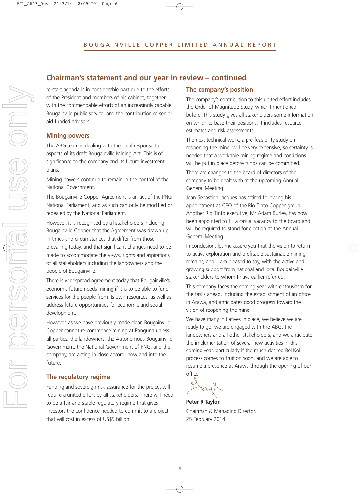# **Chairman's statement and our year in review – continued**

re-start agenda is in considerable part due to the efforts of the President and members of his cabinet, together with the commendable efforts of an increasingly capable Bougainville public service, and the contribution of senior aid-funded advisors.

#### **Mining powers**

The ABG team is dealing with the local response to aspects of its draft Bougainville Mining Act. This is of significance to the company and its future investment plans.

Mining powers continue to remain in the control of the National Government.

The Bougainville Copper Agreement is an act of the PNG National Parliament, and as such can only be modified or repealed by the National Parliament.

However, it is recognised by all stakeholders including Bougainville Copper that the Agreement was drawn up in times and circumstances that differ from those prevailing today, and that significant changes need to be made to accommodate the views, rights and aspirations of all stakeholders including the landowners and the people of Bougainville.

There is widespread agreement today that Bougainville's economic future needs mining if it is to be able to fund services for the people from its own resources, as well as address future opportunities for economic and social development.

However, as we have previously made clear, Bougainville Copper cannot re-commence mining at Panguna unless all parties: the landowners, the Autonomous Bougainville Government, the National Government of PNG, and the company, are acting in close accord, now and into the future.

#### **The regulatory regime**

Funding and sovereign risk assurance for the project will require a united effort by all stakeholders. There will need to be a fair and stable regulatory regime that gives investors the confidence needed to commit to a project that will cost in excess of US\$5 billion.

#### **The company's position**

The company's contribution to this united effort includes the Order of Magnitude Study, which I mentioned before. This study gives all stakeholders some information on which to base their positions. It includes resource estimates and risk assessments.

The next technical work, a pre-feasibility study on reopening the mine, will be very expensive, so certainty is needed that a workable mining regime and conditions will be put in place before funds can be committed.

There are changes to the board of directors of the company to be dealt with at the upcoming Annual General Meeting.

Jean-Sebastien Jacques has retired following his appointment as CEO of the Rio Tinto Copper group. Another Rio Tinto executive, Mr Adam Burley, has now been appointed to fill a casual vacancy to the board and will be required to stand for election at the Annual General Meeting.

In conclusion, let me assure you that the vision to return to active exploration and profitable sustainable mining remains, and, I am pleased to say, with the active and growing support from national and local Bougainville stakeholders to whom I have earlier referred.

This company faces the coming year with enthusiasm for the tasks ahead, including the establishment of an office in Arawa, and anticipates good progress toward the vision of reopening the mine.

We have many initiatives in place, we believe we are ready to go, we are engaged with the ABG, the landowners and all other stakeholders, and we anticipate the implementation of several new activities in this coming year, particularly if the much desired Bel Kol process comes to fruition soon, and we are able to resume a presence at Arawa through the opening of our office.

**Peter R Taylor** Chairman & Managing Director. 25 February 2014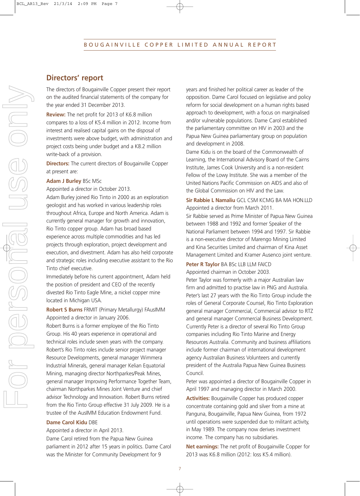# **Directors' report**

The directors of Bougainville Copper present their report on the audited financial statements of the company for the year ended 31 December 2013.

**Review:** The net profit for 2013 of K6.8 million compares to a loss of K5.4 million in 2012. Income from interest and realised capital gains on the disposal of investments were above budget, with administration and project costs being under budget and a K8.2 million write-back of a provision.

**Directors:** The current directors of Bougainville Copper at present are:

#### **Adam J Burley** BSc MSc

Appointed a director in October 2013.

Adam Burley joined Rio Tinto in 2000 as an exploration geologist and has worked in various leadership roles throughout Africa, Europe and North America. Adam is currently general manager for growth and innovation, Rio Tinto copper group. Adam has broad based experience across multiple commodities and has led projects through exploration, project development and execution, and divestment. Adam has also held corporate and strategic roles including executive assistant to the Rio Tinto chief executive.

Immediately before his current appointment, Adam held the position of president and CEO of the recently divested Rio Tinto Eagle Mine, a nickel copper mine located in Michigan USA.

#### **Robert S Burns** FRMIT (Primary Metallurgy) FAusIMM Appointed a director in January 2006.

Robert Burns is a former employee of the Rio Tinto Group. His 40 years experience in operational and technical roles include seven years with the company. Robert's Rio Tinto roles include senior project manager Resource Developments, general manager Wimmera Industrial Minerals, general manager Kelian Equatorial Mining, managing director Northparkes/Peak Mines, general manager Improving Performance Together Team, chairman Northparkes Mines Joint Venture and chief advisor Technology and Innovation. Robert Burns retired from the Rio Tinto Group effective 31 July 2009. He is a trustee of the AusIMM Education Endowment Fund.

#### **Dame Carol Kidu** DBE

Appointed a director in April 2013.

Dame Carol retired from the Papua New Guinea parliament in 2012 after 15 years in politics. Dame Carol was the Minister for Community Development for 9

years and finished her political career as leader of the opposition. Dame Carol focused on legislative and policy reform for social development on a human rights based approach to development, with a focus on marginalised and/or vulnerable populations. Dame Carol established the parliamentary committee on HIV in 2003 and the Papua New Guinea parliamentary group on population and development in 2008.

Dame Kidu is on the board of the Commonwealth of Learning, the International Advisory Board of the Cairns Institute, James Cook University and is a non-resident Fellow of the Lowy Institute. She was a member of the United Nations Pacific Commission on AIDS and also of the Global Commission on HIV and the Law.

#### **Sir Rabbie L Namaliu** GCL CSM KCMG BA MA HON.LLD Appointed a director from March 2011.

Sir Rabbie served as Prime Minister of Papua New Guinea between 1988 and 1992 and former Speaker of the National Parliament between 1994 and 1997. Sir Rabbie is a non-executive director of Marengo Mining Limited and Kina Securities Limited and chairman of Kina Asset Management Limited and Kramer Ausenco joint venture.

#### **Peter R Taylor** BA BSc LLB LLM FAICD Appointed chairman in October 2003.

Peter Taylor was formerly with a major Australian law firm and admitted to practise law in PNG and Australia. Peter's last 27 years with the Rio Tinto Group include the roles of General Corporate Counsel, Rio Tinto Exploration general manager Commercial, Commercial advisor to RTZ and general manager Commercial Business Development. Currently Peter is a director of several Rio Tinto Group companies including Rio Tinto Marine and Energy Resources Australia. Community and business affiliations include former chairman of international development agency Australian Business Volunteers and currently president of the Australia Papua New Guinea Business Council.

Peter was appointed a director of Bougainville Copper in April 1997 and managing director in March 2000.

**Activities:** Bougainville Copper has produced copper concentrate containing gold and silver from a mine at Panguna, Bougainville, Papua New Guinea, from 1972 until operations were suspended due to militant activity, in May 1989. The company now derives investment income. The company has no subsidiaries.

**Net earnings:** The net profit of Bougainville Copper for 2013 was K6.8 million (2012: loss K5.4 million).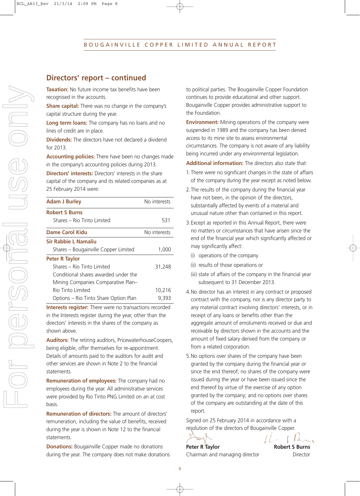# **Directors' report – continued**

**Taxation:** No future income tax benefits have been recognised in the accounts.

**Share capital:** There was no change in the company's capital structure during the year.

**Long term loans:** The company has no loans and no lines of credit are in place.

**Dividends:** The directors have not declared a dividend for 2013.

**Accounting policies:** There have been no changes made in the company's accounting policies during 2013.

**Directors' interests:** Directors' interests in the share capital of the company and its related companies as at 25 February 2014 were:

| <b>Adam J Burley</b>                  | No interests |
|---------------------------------------|--------------|
| <b>Robert S Burns</b>                 |              |
| Shares – Rio Tinto Limited            | 531          |
| Dame Carol Kidu                       | No interests |
| Sir Rabbie L Namaliu                  |              |
| Shares - Bougainville Copper Limited  | 1,000        |
| Peter R Taylor                        |              |
| Shares - Rio Tinto Limited            | 31,248       |
| Conditional shares awarded under the  |              |
| Mining Companies Comparative Plan-    |              |
| Rio Tinto Limited                     | 10,216       |
| Options - Rio Tinto Share Option Plan | 9,393        |

**Interests register:** There were no transactions recorded in the Interests register during the year, other than the directors' interests in the shares of the company as shown above.

**Auditors:** The retiring auditors, PricewaterhouseCoopers, being eligible, offer themselves for re-appointment. Details of amounts paid to the auditors for audit and other services are shown in Note 2 to the financial statements.

**Remuneration of employees:** The company had no employees during the year. All administrative services were provided by Rio Tinto PNG Limited on an at cost basis.

**Remuneration of directors:** The amount of directors' remuneration, including the value of benefits, received during the year is shown in Note 12 to the financial statements.

**Donations:** Bougainville Copper made no donations during the year. The company does not make donations to political parties. The Bougainville Copper Foundation continues to provide educational and other support. Bougainville Copper provides administrative support to the Foundation.

**Environment:** Mining operations of the company were suspended in 1989 and the company has been denied access to its mine site to assess environmental circumstances. The company is not aware of any liability being incurred under any environmental legislation.

**Additional information:** The directors also state that:

- 1.There were no significant changes in the state of affairs of the company during the year except as noted below.
- 2.The results of the company during the financial year have not been, in the opinion of the directors, substantially affected by events of a material and unusual nature other than contained in this report.
- 3.Except as reported in this Annual Report, there were no matters or circumstances that have arisen since the end of the financial year which significantly affected or may significantly affect:
	- (i) operations of the company
	- (ii) results of those operations or
	- (iii) state of affairs of the company in the financial year subsequent to 31 December 2013.
- 4.No director has an interest in any contract or proposed contract with the company, nor is any director party to any material contract involving directors' interests, or in receipt of any loans or benefits other than the aggregate amount of emoluments received or due and receivable by directors shown in the accounts and the amount of fixed salary derived from the company or from a related corporation.
- 5.No options over shares of the company have been granted by the company during the financial year or since the end thereof; no shares of the company were issued during the year or have been issued since the end thereof by virtue of the exercise of any option granted by the company; and no options over shares of the company are outstanding at the date of this report.

Signed on 25 February 2014 in accordance with a resolution of the directors of Bougainville Copper.

Peter R Taylor Robert S Burns

 $16 - 12$ 

Chairman and managing director **Director**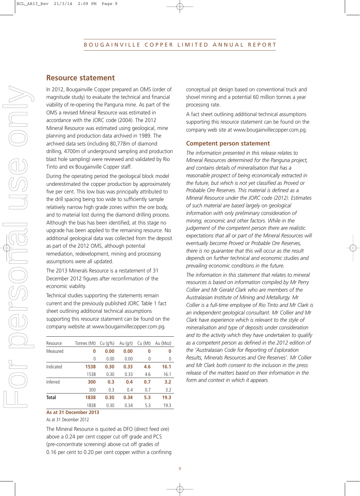# **Resource statement**

In 2012, Bougainville Copper prepared an OMS (order of magnitude study) to evaluate the technical and financial viability of re-opening the Panguna mine. As part of the OMS a revised Mineral Resource was estimated in accordance with the JORC code (2004). The 2012 Mineral Resource was estimated using geological, mine planning and production data archived in 1989. The archived data sets (including 80,778m of diamond drilling, 4700m of underground sampling and production blast hole sampling) were reviewed and validated by Rio Tinto and ex Bougainville Copper staff.

During the operating period the geological block model underestimated the copper production by approximately five per cent. This low bias was principally attributed to the drill spacing being too wide to sufficiently sample relatively narrow high grade zones within the ore body, and to material lost during the diamond drilling process. Although the bias has been identified, at this stage no upgrade has been applied to the remaining resource. No additional geological data was collected from the deposit as part of the 2012 OMS, although potential remediation, redevelopment, mining and processing assumptions were all updated.

The 2013 Minerals Resource is a restatement of 31 December 2012 figures after reconfirmation of the economic viability.

Technical studies supporting the statements remain current and the previously published JORC Table 1 fact sheet outlining additional technical assumptions supporting this resource statement can be found on the company website at www.bougainvillecopper.com.pg.

| Resource     | Tonnes (Mt)  | Cu (q%) | Au $(q/t)$ | Cu (Mt)      | Au (Moz) |
|--------------|--------------|---------|------------|--------------|----------|
| Measured     | 0            | 0.00    | 0.00       | 0            | 0        |
|              | $\mathbf{0}$ | 0.00    | 0.00       | $\mathbf{0}$ | 0        |
| Indicated    | 1538         | 0.30    | 0.33       | 4.6          | 16.1     |
|              | 1538         | 0.30    | 0.33       | 4.6          | 16.1     |
| Inferred     | 300          | 0.3     | 0.4        | 0.7          | 3.2      |
|              | 300          | 0.3     | 0.4        | 0.7          | 3.2      |
| <b>Total</b> | 1838         | 0.30    | 0.34       | 5.3          | 19.3     |
|              | 1838         | 0.30    | 0.34       | 5.3          | 19.3     |

**As at 31 December 2013** As at 31 December 2012

The Mineral Resource is quoted as DFO (direct feed ore) above a 0.24 per cent copper cut off grade and PCS (pre-concentrate screening) above cut off grades of 0.16 per cent to 0.20 per cent copper within a confining conceptual pit design based on conventional truck and shovel mining and a potential 60 million tonnes a year processing rate.

A fact sheet outlining additional technical assumptions supporting this resource statement can be found on the company web site at www.bougainvillecopper.com.pg.

#### **Competent person statement**

*The information presented in this release relates to Mineral Resources determined for the Panguna project, and contains details of mineralisation that has a reasonable prospect of being economically extracted in the future, but which is not yet classified as Proved or Probable Ore Reserves. This material is defined as a Mineral Resource under the JORC code (2012). Estimates of such material are based largely on geological information with only preliminary consideration of mining, economic and other factors. While in the judgement of the competent person there are realistic expectations that all or part of the Mineral Resources will eventually become Proved or Probable Ore Reserves, there is no guarantee that this will occur as the result depends on further technical and economic studies and prevailing economic conditions in the future.* 

*The information in this statement that relates to mineral resources is based on information compiled by Mr Perry Collier and Mr Gerald Clark who are members of the Australasian Institute of Mining and Metallurgy. Mr Collier is a full-time employee of Rio Tinto and Mr Clark is an independent geological consultant. Mr Collier and Mr Clark have experience which is relevant to the style of mineralisation and type of deposits under consideration and to the activity which they have undertaken to qualify as a competent person as defined in the 2012 edition of the 'Australasian Code for Reporting of Exploration Results, Minerals Resources and Ore Reserves'. Mr Collier and Mr Clark both consent to the inclusion in the press release of the matters based on their information in the form and context in which it appears.*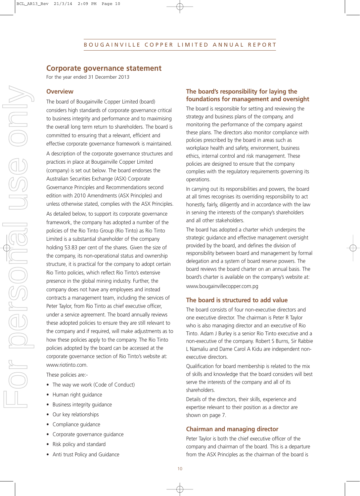#### **Corporate governance statement**

For the year ended 31 December 2013

#### **Overview**

The board of Bougainville Copper Limited (board) considers high standards of corporate governance critical to business integrity and performance and to maximising the overall long term return to shareholders. The board is committed to ensuring that a relevant, efficient and effective corporate governance framework is maintained. A description of the corporate governance structures and practices in place at Bougainville Copper Limited (company) is set out below. The board endorses the Australian Securities Exchange (ASX) Corporate Governance Principles and Recommendations second edition with 2010 Amendments (ASX Principles) and unless otherwise stated, complies with the ASX Principles. As detailed below, to support its corporate governance framework, the company has adopted a number of the policies of the Rio Tinto Group (Rio Tinto) as Rio Tinto Limited is a substantial shareholder of the company holding 53.83 per cent of the shares. Given the size of the company, its non-operational status and ownership structure, it is practical for the company to adopt certain Rio Tinto policies, which reflect Rio Tinto's extensive presence in the global mining industry. Further, the company does not have any employees and instead contracts a management team, including the services of Peter Taylor, from Rio Tinto as chief executive officer, under a service agreement. The board annually reviews these adopted policies to ensure they are still relevant to the company and if required, will make adjustments as to how these policies apply to the company. The Rio Tinto

policies adopted by the board can be accessed at the corporate governance section of Rio Tinto's website at: www.riotinto.com.

These policies are:-

- The way we work (Code of Conduct)
- Human right guidance
- Business integrity guidance
- Our key relationships
- Compliance guidance
- Corporate governance guidance
- Risk policy and standard
- Anti trust Policy and Guidance

#### **The board's responsibility for laying the foundations for management and oversight**

The board is responsible for setting and reviewing the strategy and business plans of the company, and monitoring the performance of the company against these plans. The directors also monitor compliance with policies prescribed by the board in areas such as workplace health and safety, environment, business ethics, internal control and risk management. These policies are designed to ensure that the company complies with the regulatory requirements governing its operations.

In carrying out its responsibilities and powers, the board at all times recognises its overriding responsibility to act honestly, fairly, diligently and in accordance with the law in serving the interests of the company's shareholders and all other stakeholders.

The board has adopted a charter which underpins the strategic guidance and effective management oversight provided by the board, and defines the division of responsibility between board and management by formal delegation and a system of board reserve powers. The board reviews the board charter on an annual basis. The board's charter is available on the company's website at: www.bougainvillecopper.com.pg

#### **The board is structured to add value**

The board consists of four non-executive directors and one executive director. The chairman is Peter R Taylor who is also managing director and an executive of Rio Tinto. Adam J Burley is a senior Rio Tinto executive and a non-executive of the company. Robert S Burns, Sir Rabbie L Namaliu and Dame Carol A Kidu are independent nonexecutive directors.

Qualification for board membership is related to the mix of skills and knowledge that the board considers will best serve the interests of the company and all of its shareholders.

Details of the directors, their skills, experience and expertise relevant to their position as a director are shown on page 7.

#### **Chairman and managing director**

Peter Taylor is both the chief executive officer of the company and chairman of the board. This is a departure from the ASX Principles as the chairman of the board is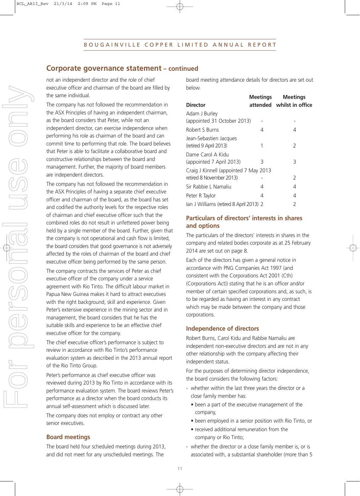#### **Corporate governance statement – continued**

not an independent director and the role of chief executive officer and chairman of the board are filled by the same individual.

The company has not followed the recommendation in the ASX Principles of having an independent chairman, as the board considers that Peter, while not an independent director, can exercise independence when performing his role as chairman of the board and can commit time to performing that role. The board believes that Peter is able to facilitate a collaborative board and constructive relationships between the board and management. Further, the majority of board members are independent directors.

The company has not followed the recommendation in the ASX Principles of having a separate chief executive officer and chairman of the board, as the board has set and codified the authority levels for the respective roles of chairman and chief executive officer such that the combined roles do not result in unfettered power being held by a single member of the board. Further, given that the company is not operational and cash flow is limited, the board considers that good governance is not adversely affected by the roles of chairman of the board and chief executive officer being performed by the same person.

The company contracts the services of Peter as chief executive officer of the company under a service agreement with Rio Tinto. The difficult labour market in Papua New Guinea makes it hard to attract executives with the right background, skill and experience. Given Peter's extensive experience in the mining sector and in management, the board considers that he has the suitable skills and experience to be an effective chief executive officer for the company.

The chief executive officer's performance is subject to review in accordance with Rio Tinto's performance evaluation system as described in the 2013 annual report of the Rio Tinto Group.

Peter's performance as chief executive officer was reviewed during 2013 by Rio Tinto in accordance with its performance evaluation system. The board reviews Peter's performance as a director when the board conducts its annual self-assessment which is discussed later.

The company does not employ or contract any other senior executives.

#### **Board meetings**

The board held four scheduled meetings during 2013, and did not meet for any unscheduled meetings. The

board meeting attendance details for directors are set out below.

|                                                                   | <b>Meetings</b> | <b>Meetings</b>           |
|-------------------------------------------------------------------|-----------------|---------------------------|
| <b>Director</b>                                                   |                 | attended whilst in office |
| Adam J Burley                                                     |                 |                           |
| (appointed 31 October 2013)                                       |                 |                           |
| Robert S Burns                                                    | 4               | 4                         |
| Jean-Sebastien Jacques<br>(retired 9 April 2013)                  | 1               | 2                         |
| Dame Carol A Kidu<br>(appointed 7 April 2013)                     | 3               | 3                         |
| Craig J Kinnell (appointed 7 May 2013<br>retired 8 November 2013) |                 | 2                         |
| Sir Rabbie L Namaliu                                              | 4               | 4                         |
| Peter R Taylor                                                    | 4               | 4                         |
| Ian J Williams (retired 8 April 2013) 2                           |                 | 2                         |

### **Particulars of directors' interests in shares and options**

The particulars of the directors' interests in shares in the company and related bodies corporate as at 25 February 2014 are set out on page 8.

Each of the directors has given a general notice in accordance with PNG Companies Act 1997 (and consistent with the Corporations Act 2001 (Cth) (Corporations Act)) stating that he is an officer and/or member of certain specified corporations and, as such, is to be regarded as having an interest in any contract which may be made between the company and those corporations.

#### **Independence of directors**

Robert Burns, Carol Kidu and Rabbie Namaliu are independent non-executive directors and are not in any other relationship with the company affecting their independent status.

For the purposes of determining director independence, the board considers the following factors:

- whether within the last three years the director or a close family member has:
	- been a part of the executive management of the company,
	- been employed in a senior position with Rio Tinto, or
	- received additional remuneration from the company or Rio Tinto;
- whether the director or a close family member is, or is associated with, a substantial shareholder (more than 5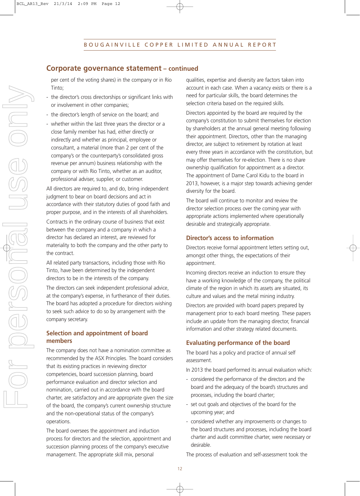#### **Corporate governance statement – continued**

per cent of the voting shares) in the company or in Rio Tinto;

- the director's cross directorships or significant links with or involvement in other companies;
- the director's length of service on the board; and
- whether within the last three years the director or a close family member has had, either directly or indirectly and whether as principal, employee or consultant, a material (more than 2 per cent of the company's or the counterparty's consolidated gross revenue per annum) business relationship with the company or with Rio Tinto, whether as an auditor, professional adviser, supplier, or customer.

All directors are required to, and do, bring independent judgment to bear on board decisions and act in accordance with their statutory duties of good faith and proper purpose, and in the interests of all shareholders.

Contracts in the ordinary course of business that exist between the company and a company in which a director has declared an interest, are reviewed for materiality to both the company and the other party to the contract.

All related party transactions, including those with Rio Tinto, have been determined by the independent directors to be in the interests of the company.

The directors can seek independent professional advice, at the company's expense, in furtherance of their duties. The board has adopted a procedure for directors wishing to seek such advice to do so by arrangement with the company secretary.

#### **Selection and appointment of board members**

The company does not have a nomination committee as recommended by the ASX Principles. The board considers that its existing practices in reviewing director competencies, board succession planning, board performance evaluation and director selection and nomination, carried out in accordance with the board charter, are satisfactory and are appropriate given the size of the board, the company's current ownership structure and the non-operational status of the company's operations.

The board oversees the appointment and induction process for directors and the selection, appointment and succession planning process of the company's executive management. The appropriate skill mix, personal

qualities, expertise and diversity are factors taken into account in each case. When a vacancy exists or there is a need for particular skills, the board determines the selection criteria based on the required skills.

Directors appointed by the board are required by the company's constitution to submit themselves for election by shareholders at the annual general meeting following their appointment. Directors, other than the managing director, are subject to retirement by rotation at least every three years in accordance with the constitution, but may offer themselves for re-election. There is no share ownership qualification for appointment as a director. The appointment of Dame Carol Kidu to the board in 2013, however, is a major step towards achieving gender diversity for the board.

The board will continue to monitor and review the director selection process over the coming year with appropriate actions implemented where operationally desirable and strategically appropriate.

#### **Director's access to information**

Directors receive formal appointment letters setting out, amongst other things, the expectations of their appointment.

Incoming directors receive an induction to ensure they have a working knowledge of the company, the political climate of the region in which its assets are situated, its culture and values and the metal mining industry.

Directors are provided with board papers prepared by management prior to each board meeting. These papers include an update from the managing director, financial information and other strategy related documents.

#### **Evaluating performance of the board**

The board has a policy and practice of annual self assessment.

In 2013 the board performed its annual evaluation which:

- considered the performance of the directors and the board and the adequacy of the board's structures and processes, including the board charter;
- set out goals and objectives of the board for the upcoming year; and
- considered whether any improvements or changes to the board structures and processes, including the board charter and audit committee charter, were necessary or desirable.

The process of evaluation and self-assessment took the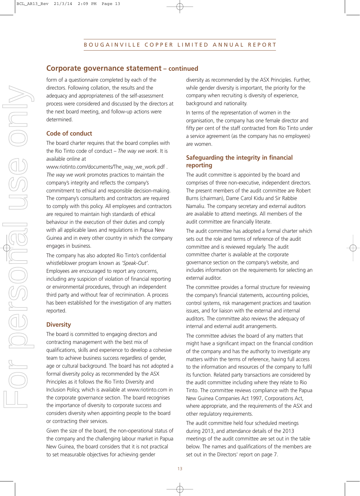#### **Corporate governance statement – continued**

form of a questionnaire completed by each of the directors. Following collation, the results and the adequacy and appropriateness of the self-assessment process were considered and discussed by the directors at the next board meeting, and follow-up actions were determined.

#### **Code of conduct**

The board charter requires that the board complies with the Rio Tinto code of conduct – *The way we work*. It is available online at

www.riotinto.com/documents/The\_way\_we\_work.pdf . *The way we work* promotes practices to maintain the company's integrity and reflects the company's commitment to ethical and responsible decision-making. The company's consultants and contractors are required to comply with this policy. All employees and contractors are required to maintain high standards of ethical behaviour in the execution of their duties and comply with all applicable laws and regulations in Papua New Guinea and in every other country in which the company engages in business.

The company has also adopted Rio Tinto's confidential whistleblower program known as *'Speak-Out'*. Employees are encouraged to report any concerns, including any suspicion of violation of financial reporting or environmental procedures, through an independent third party and without fear of recrimination. A process has been established for the investigation of any matters reported.

#### **Diversity**

The board is committed to engaging directors and contracting management with the best mix of qualifications, skills and experience to develop a cohesive team to achieve business success regardless of gender, age or cultural background. The board has not adopted a formal diversity policy as recommended by the ASX Principles as it follows the Rio Tinto Diversity and Inclusion Policy, which is available at www.riotinto.com in the corporate governance section. The board recognises the importance of diversity to corporate success and considers diversity when appointing people to the board or contracting their services.

Given the size of the board, the non-operational status of the company and the challenging labour market in Papua New Guinea, the board considers that it is not practical to set measurable objectives for achieving gender

diversity as recommended by the ASX Principles. Further, while gender diversity is important, the priority for the company when recruiting is diversity of experience, background and nationality.

In terms of the representation of women in the organisation, the company has one female director and fifty per cent of the staff contracted from Rio Tinto under a service agreement (as the company has no employees) are women.

#### **Safeguarding the integrity in financial reporting**

The audit committee is appointed by the board and comprises of three non-executive, independent directors. The present members of the audit committee are Robert Burns (chairman), Dame Carol Kidu and Sir Rabbie Namaliu. The company secretary and external auditors are available to attend meetings. All members of the audit committee are financially literate.

The audit committee has adopted a formal charter which sets out the role and terms of reference of the audit committee and is reviewed regularly. The audit committee charter is available at the corporate governance section on the company's website, and includes information on the requirements for selecting an external auditor.

The committee provides a formal structure for reviewing the company's financial statements, accounting policies, control systems, risk management practices and taxation issues, and for liaison with the external and internal auditors. The committee also reviews the adequacy of internal and external audit arrangements.

The committee advises the board of any matters that might have a significant impact on the financial condition of the company and has the authority to investigate any matters within the terms of reference, having full access to the information and resources of the company to fulfil its function. Related party transactions are considered by the audit committee including where they relate to Rio Tinto. The committee reviews compliance with the Papua New Guinea Companies Act 1997, Corporations Act, where appropriate, and the requirements of the ASX and other regulatory requirements.

The audit committee held four scheduled meetings during 2013, and attendance details of the 2013 meetings of the audit committee are set out in the table below. The names and qualifications of the members are set out in the Directors' report on page 7.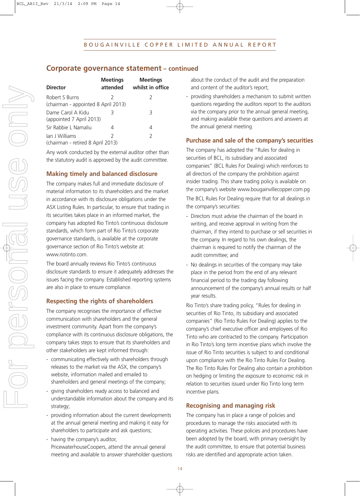#### **Corporate governance statement – continued**

| <b>Director</b>                                       | <b>Meetings</b><br>attended | <b>Meetings</b><br>whilst in office |
|-------------------------------------------------------|-----------------------------|-------------------------------------|
| Robert S Burns<br>(chairman - appointed 8 April 2013) | $\mathcal{L}$               | $\mathcal{P}$                       |
| Dame Carol A Kidu<br>(appointed 7 April 2013)         | 3                           | 3                                   |
| Sir Rabbie L Namaliu                                  |                             | 4                                   |
| lan I Williams<br>(chairman - retired 8 April 2013)   | $\mathcal{L}$               | $\mathcal{P}$                       |

Any work conducted by the external auditor other than the statutory audit is approved by the audit committee.

#### **Making timely and balanced disclosure**

The company makes full and immediate disclosure of material information to its shareholders and the market in accordance with its disclosure obligations under the ASX Listing Rules. In particular, to ensure that trading in its securities takes place in an informed market, the company has adopted Rio Tinto's continuous disclosure standards, which form part of Rio Tinto's corporate governance standards, is available at the corporate governance section of Rio Tinto's website at: www.riotinto.com.

The board annually reviews Rio Tinto's continuous disclosure standards to ensure it adequately addresses the issues facing the company. Established reporting systems are also in place to ensure compliance.

#### **Respecting the rights of shareholders**

The company recognises the importance of effective communication with shareholders and the general investment community. Apart from the company's compliance with its continuous disclosure obligations, the company takes steps to ensure that its shareholders and other stakeholders are kept informed through:

- communicating effectively with shareholders through releases to the market via the ASX, the company's website, information mailed and emailed to shareholders and general meetings of the company;
- giving shareholders ready access to balanced and understandable information about the company and its strategy;
- providing information about the current developments at the annual general meeting and making it easy for shareholders to participate and ask questions;
- having the company's auditor, PricewaterhouseCoopers, attend the annual general meeting and available to answer shareholder questions

about the conduct of the audit and the preparation and content of the auditor's report;

- providing shareholders a mechanism to submit written questions regarding the auditors report to the auditors via the company prior to the annual general meeting, and making available these questions and answers at the annual general meeting.

#### **Purchase and sale of the company's securities**

The company has adopted the "Rules for dealing in securities of BCL, its subsidiary and associated companies" (BCL Rules For Dealing) which reinforces to all directors of the company the prohibition against insider trading. This share trading policy is available on the company's website www.bougainvillecopper.com.pg The BCL Rules For Dealing require that for all dealings in the company's securities:

- Directors must advise the chairman of the board in writing, and receive approval in writing from the chairman, if they intend to purchase or sell securities in the company. In regard to his own dealings, the chairman is required to notify the chairman of the audit committee; and
- No dealings in securities of the company may take place in the period from the end of any relevant financial period to the trading day following announcement of the company's annual results or half year results.

Rio Tinto's share trading policy, "Rules for dealing in securities of Rio Tinto, its subsidiary and associated companies" (Rio Tinto Rules For Dealing) applies to the company's chief executive officer and employees of Rio Tinto who are contracted to the company. Participation in Rio Tinto's long term incentive plans which involve the issue of Rio Tinto securities is subject to and conditional upon compliance with the Rio Tinto Rules For Dealing. The Rio Tinto Rules For Dealing also contain a prohibition on hedging or limiting the exposure to economic risk in relation to securities issued under Rio Tinto long term incentive plans.

#### **Recognising and managing risk**

The company has in place a range of policies and procedures to manage the risks associated with its operating activities. These policies and procedures have been adopted by the board, with primary oversight by the audit committee, to ensure that potential business risks are identified and appropriate action taken.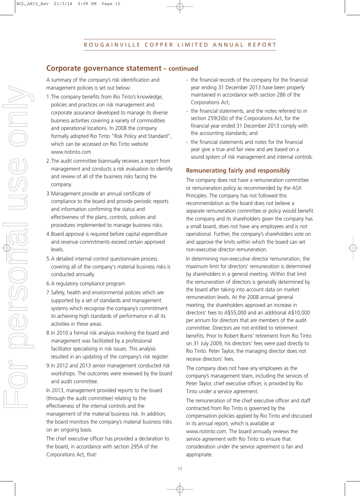#### **Corporate governance statement – continued**

A summary of the company's risk identification and management policies is set out below:

- 1.The company benefits from Rio Tinto's knowledge, policies and practices on risk management and corporate assurance developed to manage its diverse business activities covering a variety of commodities and operational locations. In 2008 the company formally adopted Rio Tinto "Risk Policy and Standard", which can be accessed on Rio Tinto website www.riotinto.com
- 2.The audit committee biannually receives a report from management and conducts a risk evaluation to identify and review of all of the business risks facing the company.
- 3.Management provide an annual certificate of compliance to the board and provide periodic reports and information confirming the status and effectiveness of the plans, controls, policies and procedures implemented to manage business risks.
- 4.Board approval is required before capital expenditure and revenue commitments exceed certain approved levels.
- 5.A detailed internal control questionnaire process covering all of the company's material business risks is conducted annually.
- 6.A regulatory compliance program.
- 7.Safety, health and environmental policies which are supported by a set of standards and management systems which recognise the company's commitment to achieving high standards of performance in all its activities in these areas.
- 8.In 2010 a formal risk analysis involving the board and management was facilitated by a professional facilitator specialising in risk issues. This analysis resulted in an updating of the company's risk register.
- 9.In 2012 and 2013 senior management conducted risk workshops. The outcomes were reviewed by the board and audit committee.

In 2013, management provided reports to the board (through the audit committee) relating to the effectiveness of the internal controls and the management of the material business risk. In addition, the board monitors the company's material business risks on an ongoing basis.

The chief executive officer has provided a declaration to the board, in accordance with section 295A of the Corporations Act, that:

- the financial records of the company for the financial year ending 31 December 2013 have been properly maintained in accordance with section 286 of the Corporations Act;
- the financial statements, and the notes referred to in section 259(3)(b) of the Corporations Act, for the financial year ended 31 December 2013 comply with the accounting standards; and
- the financial statements and notes for the financial year give a true and fair view and are based on a sound system of risk management and internal controls.

#### **Remunerating fairly and responsibly**

The company does not have a remuneration committee or remuneration policy as recommended by the ASX Principles. The company has not followed this recommendation as the board does not believe a separate remuneration committee or policy would benefit the company and its shareholders given the company has a small board, does not have any employees and is not operational. Further, the company's shareholders vote on and approve the limits within which the board can set non-executive director remuneration.

In determining non-executive director remuneration, the maximum limit for directors' remuneration is determined by shareholders in a general meeting. Within that limit the remuneration of directors is generally determined by the board after taking into account data on market remuneration levels. At the 2008 annual general meeting, the shareholders approved an increase in directors' fees to A\$55,000 and an additional A\$10,000 per annum for directors that are members of the audit committee. Directors are not entitled to retirement benefits. Prior to Robert Burns' retirement from Rio Tinto on 31 July 2009, his directors' fees were paid directly to Rio Tinto. Peter Taylor, the managing director does not receive directors' fees.

The company does not have any employees as the company's management team, including the services of Peter Taylor, chief executive officer, is provided by Rio Tinto under a service agreement.

The remuneration of the chief executive officer and staff contracted from Rio Tinto is governed by the compensation policies applied by Rio Tinto and discussed in its annual report, which is available at www.riotinto.com. The board annually reviews the service agreement with Rio Tinto to ensure that consideration under the service agreement is fair and appropriate.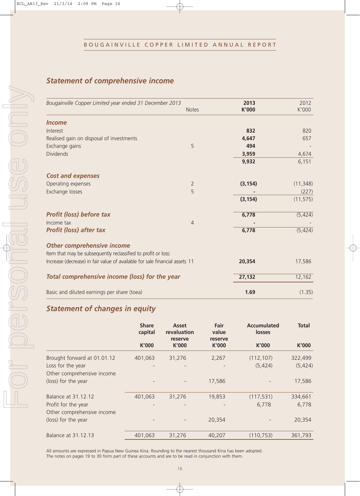# *Statement of comprehensive income*

| Bougainville Copper Limited year ended 31 December 2013                     |                | 2013     | 2012      |
|-----------------------------------------------------------------------------|----------------|----------|-----------|
|                                                                             | <b>Notes</b>   | K'000    | K'000     |
| <b>Income</b>                                                               |                |          |           |
| Interest                                                                    |                | 832      | 820       |
| Realised gain on disposal of investments                                    |                | 4,647    | 657       |
| Exchange gains                                                              | 5              | 494      |           |
| <b>Dividends</b>                                                            |                | 3,959    | 4,674     |
|                                                                             |                | 9,932    | 6,151     |
| <b>Cost and expenses</b>                                                    |                |          |           |
| Operating expenses                                                          | $\overline{2}$ | (3, 154) | (11, 348) |
| Exchange losses                                                             | 5              |          | (227)     |
|                                                                             |                | (3, 154) | (11, 575) |
| <b>Profit (loss) before tax</b>                                             |                | 6,778    | (5, 424)  |
| Income tax                                                                  | $\overline{4}$ |          |           |
| <b>Profit (loss) after tax</b>                                              |                | 6,778    | (5, 424)  |
| <b>Other comprehensive income</b>                                           |                |          |           |
| Item that may be subsequently reclassified to profit or loss:               |                |          |           |
| Increase (decrease) in fair value of available for sale financial assets 11 |                | 20,354   | 17,586    |
| Total comprehensive income (loss) for the year                              |                | 27,132   | 12,162    |
| Basic and diluted earnings per share (toea)                                 |                | 1.69     | (1.35)    |

# *Statement of changes in equity*

|                                                   | <b>Share</b><br>capital | <b>Asset</b><br>revaluation<br>reserve | Fair<br>value<br>reserve | <b>Accumulated</b><br>losses | <b>Total</b> |
|---------------------------------------------------|-------------------------|----------------------------------------|--------------------------|------------------------------|--------------|
|                                                   | K'000                   | K'000                                  | K'000                    | K'000                        | K'000        |
| Brought forward at 01.01.12                       | 401,063                 | 31,276                                 | 2,267                    | (112, 107)                   | 322,499      |
| Loss for the year<br>Other comprehensive income   |                         |                                        |                          | (5,424)                      | (5, 424)     |
| (loss) for the year                               |                         |                                        | 17,586                   |                              | 17,586       |
| Balance at 31.12.12                               | 401,063                 | 31,276                                 | 19,853                   | (117, 531)                   | 334,661      |
| Profit for the year<br>Other comprehensive income |                         |                                        |                          | 6,778                        | 6,778        |
| (loss) for the year                               |                         |                                        | 20,354                   |                              | 20,354       |
| Balance at 31.12.13                               | 401,063                 | 31,276                                 | 40,207                   | (110, 753)                   | 361,793      |

All amounts are expressed in Papua New Guinea Kina. Rounding to the nearest thousand Kina has been adopted. The notes on pages 19 to 30 form part of these accounts and are to be read in conjunction with them.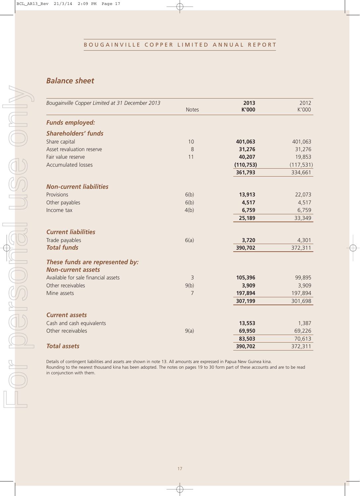## *Balance sheet*

| Bougainville Copper Limited at 31 December 2013 | <b>Notes</b> | 2013<br>K'000 | 2012<br>K'000 |
|-------------------------------------------------|--------------|---------------|---------------|
| <b>Funds employed:</b>                          |              |               |               |
| <b>Shareholders' funds</b>                      |              |               |               |
| Share capital                                   | 10           | 401,063       | 401,063       |
| Asset revaluation reserve                       | 8            | 31,276        | 31,276        |
| Fair value reserve                              | 11           | 40,207        | 19,853        |
| <b>Accumulated losses</b>                       |              | (110, 753)    | (117, 531)    |
|                                                 |              | 361,793       | 334,661       |
| <b>Non-current liabilities</b>                  |              |               |               |
| Provisions                                      | 6(b)         | 13,913        | 22,073        |
| Other payables                                  | 6(b)         | 4,517         | 4,517         |
| Income tax                                      | 4(b)         | 6,759         | 6,759         |
|                                                 |              | 25,189        | 33,349        |
| <b>Current liabilities</b>                      |              |               |               |
| Trade payables                                  | 6(a)         | 3,720         | 4,301         |
| <b>Total funds</b>                              |              | 390,702       | 372,311       |
| These funds are represented by:                 |              |               |               |
| <b>Non-current assets</b>                       |              |               |               |
| Available for sale financial assets             | 3            | 105,396       | 99,895        |
| Other receivables                               | 9(b)         | 3,909         | 3,909         |
| Mine assets                                     | 7            | 197,894       | 197,894       |
|                                                 |              | 307,199       | 301,698       |
| <b>Current assets</b>                           |              |               |               |
| Cash and cash equivalents                       |              | 13,553        | 1,387         |
| Other receivables                               | 9(a)         | 69,950        | 69,226        |
|                                                 |              | 83,503        | 70,613        |
| <b>Total assets</b>                             |              | 390,702       | 372,311       |

Details of contingent liabilities and assets are shown in note 13. All amounts are expressed in Papua New Guinea kina. Rounding to the nearest thousand kina has been adopted. The notes on pages 19 to 30 form part of these accounts and are to be read in conjunction with them.

 $\bigoplus$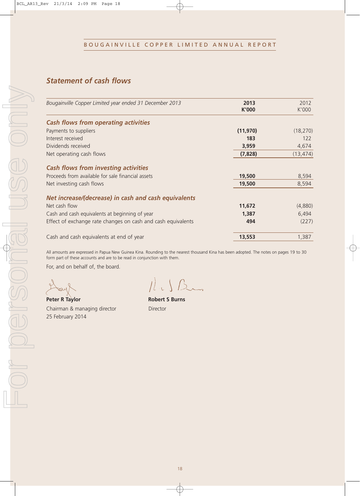# *Statement of cash flows*

| Bougainville Copper Limited year ended 31 December 2013      | 2013<br><b>K'000</b> | 2012<br>K'000 |
|--------------------------------------------------------------|----------------------|---------------|
| <b>Cash flows from operating activities</b>                  |                      |               |
| Payments to suppliers                                        | (11, 970)            | (18, 270)     |
| Interest received                                            | 183                  | 122           |
| Dividends received                                           | 3,959                | 4,674         |
| Net operating cash flows                                     | (7, 828)             | (13, 474)     |
| <b>Cash flows from investing activities</b>                  |                      |               |
| Proceeds from available for sale financial assets            | 19,500               | 8,594         |
| Net investing cash flows                                     | 19,500               | 8,594         |
| Net increase/(decrease) in cash and cash equivalents         |                      |               |
| Net cash flow                                                | 11,672               | (4,880)       |
| Cash and cash equivalents at beginning of year               | 1,387                | 6,494         |
| Effect of exchange rate changes on cash and cash equivalents | 494                  | (227)         |
| Cash and cash equivalents at end of year                     | 13,553               | 1,387         |

All amounts are expressed in Papua New Guinea Kina. Rounding to the nearest thousand Kina has been adopted. The notes on pages 19 to 30 form part of these accounts and are to be read in conjunction with them.

For, and on behalf of, the board.

Chairman & managing director Director 25 February 2014

**Peter R Taylor Robert S Burns**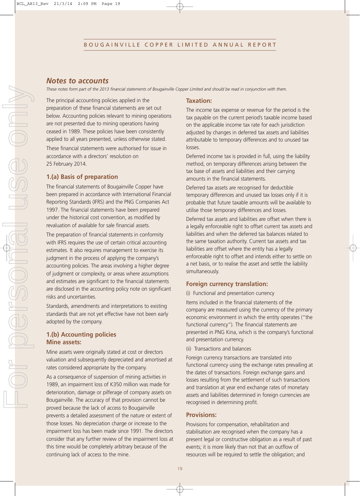#### *Notes to accounts*

*These notes form part of the 2013 financial statements of Bougainville Copper Limited and should be read in conjunction with them.*

The principal accounting policies applied in the preparation of these financial statements are set out below. Accounting policies relevant to mining operations are not presented due to mining operations having ceased in 1989. These policies have been consistently applied to all years presented, unless otherwise stated. These financial statements were authorised for issue in accordance with a directors' resolution on 25 February 2014.

#### **1.(a) Basis of preparation**

The financial statements of Bougainville Copper have been prepared in accordance with International Financial Reporting Standards (IFRS) and the PNG Companies Act 1997. The financial statements have been prepared under the historical cost convention, as modified by revaluation of available for sale financial assets.

The preparation of financial statements in conformity with IFRS requires the use of certain critical accounting estimates. It also requires management to exercise its judgment in the process of applying the company's accounting policies. The areas involving a higher degree of judgment or complexity, or areas where assumptions and estimates are significant to the financial statements are disclosed in the accounting policy note on significant risks and uncertainties.

Standards, amendments and interpretations to existing standards that are not yet effective have not been early adopted by the company.

#### **1.(b) Accounting policies Mine assets:**

Mine assets were originally stated at cost or directors valuation and subsequently depreciated and amortised at rates considered appropriate by the company.

As a consequence of suspension of mining activities in 1989, an impairment loss of K350 million was made for deterioration, damage or pilferage of company assets on Bougainville. The accuracy of that provision cannot be proved because the lack of access to Bougainville prevents a detailed assessment of the nature or extent of those losses. No depreciation charge or increase to the impairment loss has been made since 1991. The directors consider that any further review of the impairment loss at this time would be completely arbitrary because of the continuing lack of access to the mine.

#### **Taxation:**

The income tax expense or revenue for the period is the tax payable on the current period's taxable income based on the applicable income tax rate for each jurisdiction adjusted by changes in deferred tax assets and liabilities attributable to temporary differences and to unused tax losses.

Deferred income tax is provided in full, using the liability method, on temporary differences arising between the tax base of assets and liabilities and their carrying amounts in the financial statements.

Deferred tax assets are recognised for deductible temporary differences and unused tax losses only if it is probable that future taxable amounts will be available to utilise those temporary differences and losses.

Deferred tax assets and liabilities are offset when there is a legally enforceable right to offset current tax assets and liabilities and when the deferred tax balances related to the same taxation authority. Current tax assets and tax liabilities are offset where the entity has a legally enforceable right to offset and intends either to settle on a net basis, or to realise the asset and settle the liability simultaneously.

#### **Foreign currency translation:**

(i) Functional and presentation currency

Items included in the financial statements of the company are measured using the currency of the primary economic environment in which the entity operates ("the functional currency"). The financial statements are presented in PNG Kina, which is the company's functional and presentation currency.

(ii) Transactions and balances

Foreign currency transactions are translated into functional currency using the exchange rates prevailing at the dates of transactions. Foreign exchange gains and losses resulting from the settlement of such transactions and translation at year end exchange rates of monetary assets and liabilities determined in foreign currencies are recognised in determining profit.

#### **Provisions:**

Provisions for compensation, rehabilitation and stabilisation are recognised when the company has a present legal or constructive obligation as a result of past events; it is more likely than not that an outflow of resources will be required to settle the obligation; and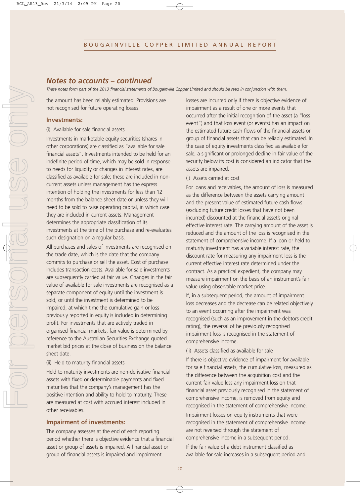#### *Notes to accounts – continued*

*These notes form part of the 2013 financial statements of Bougainville Copper Limited and should be read in conjunction with them.*

the amount has been reliably estimated. Provisions are not recognised for future operating losses.

#### **Investments:**

#### (i) Available for sale financial assets

Investments in marketable equity securities (shares in other corporations) are classified as "available for sale financial assets". Investments intended to be held for an indefinite period of time, which may be sold in response to needs for liquidity or changes in interest rates, are classified as available for sale; these are included in noncurrent assets unless management has the express intention of holding the investments for less than 12 months from the balance sheet date or unless they will need to be sold to raise operating capital, in which case they are included in current assets. Management determines the appropriate classification of its investments at the time of the purchase and re-evaluates such designation on a regular basis.

All purchases and sales of investments are recognised on the trade date, which is the date that the company commits to purchase or sell the asset. Cost of purchase includes transaction costs. Available for sale investments are subsequently carried at fair value. Changes in the fair value of available for sale investments are recognised as a separate component of equity until the investment is sold, or until the investment is determined to be impaired, at which time the cumulative gain or loss previously reported in equity is included in determining profit. For investments that are actively traded in organised financial markets, fair value is determined by reference to the Australian Securities Exchange quoted market bid prices at the close of business on the balance sheet date.

#### (ii) Held to maturity financial assets

Held to maturity investments are non-derivative financial assets with fixed or determinable payments and fixed maturities that the company's management has the positive intention and ability to hold to maturity. These are measured at cost with accrued interest included in other receivables.

#### **Impairment of investments:**

The company assesses at the end of each reporting period whether there is objective evidence that a financial asset or group of assets is impaired. A financial asset or group of financial assets is impaired and impairment

losses are incurred only if there is objective evidence of impairment as a result of one or more events that occurred after the initial recognition of the asset (a "loss event") and that loss event (or events) has an impact on the estimated future cash flows of the financial assets or group of financial assets that can be reliably estimated. In the case of equity investments classified as available for sale, a significant or prolonged decline in fair value of the security below its cost is considered an indicator that the assets are impaired.

#### (i) Assets carried at cost

For loans and receivables, the amount of loss is measured as the difference between the assets carrying amount and the present value of estimated future cash flows (excluding future credit losses that have not been incurred) discounted at the financial asset's original effective interest rate. The carrying amount of the asset is reduced and the amount of the loss is recognised in the statement of comprehensive income. If a loan or held to maturity investment has a variable interest rate, the discount rate for measuring any impairment loss is the current effective interest rate determined under the contract. As a practical expedient, the company may measure impairment on the basis of an instrument's fair value using observable market price.

If, in a subsequent period, the amount of impairment loss decreases and the decrease can be related objectively to an event occurring after the impairment was recognised (such as an improvement in the debtors credit rating), the reversal of he previously recognised impairment loss is recognised in the statement of comprehensive income.

#### (ii) Assets classified as available for sale

If there is objective evidence of impairment for available for sale financial assets, the cumulative loss, measured as the difference between the acquisition cost and the current fair value less any impairment loss on that financial asset previously recognised in the statement of comprehensive income, is removed from equity and recognised in the statement of comprehensive income.

Impairment losses on equity instruments that were recognised in the statement of comprehensive income are not reversed through the statement of comprehensive income in a subsequent period.

If the fair value of a debt instrument classified as available for sale increases in a subsequent period and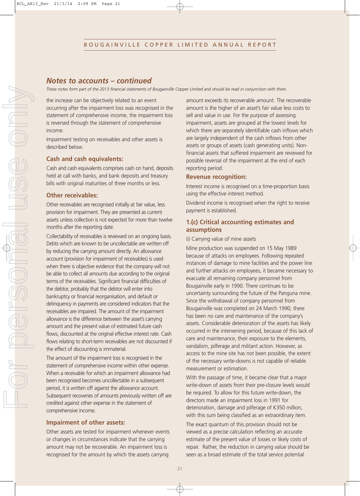#### *Notes to accounts – continued*

*These notes form part of the 2013 financial statements of Bougainville Copper Limited and should be read in conjunction with them.*

the increase can be objectively related to an event occurring after the impairment loss was recognised in the statement of comprehensive income, the impairment loss is reversed through the statement of comprehensive income.

Impairment testing on receivables and other assets is described below.

#### **Cash and cash equivalents:**

Cash and cash equivalents comprises cash on hand, deposits held at call with banks, and bank deposits and treasury bills with original maturities of three months or less.

#### **Other receivables:**

Other receivables are recognised initially at fair value, less provision for impairment. They are presented as current assets unless collection is not expected for more than twelve months after the reporting date.

Collectability of receivables is reviewed on an ongoing basis. Debts which are known to be uncollectable are written off by reducing the carrying amount directly. An allowance account (provision for impairment of receivables) is used when there is objective evidence that the company will not be able to collect all amounts due according to the original terms of the receivables. Significant financial difficulties of the debtor, probably that the debtor will enter into bankruptcy or financial reorganisation, and default or delinquency in payments are considered indicators that the receivables are impaired. The amount of the impairment allowance is the difference between the asset's carrying amount and the present value of estimated future cash flows, discounted at the original effective interest rate. Cash flows relating to short-term receivables are not discounted if the effect of discounting is immaterial.

The amount of the impairment loss is recognised in the statement of comprehensive income within other expense. When a receivable for which an impairment allowance had been recognised becomes uncollectable in a subsequent period, it is written off against the allowance account. Subsequent recoveries of amounts previously written off are credited against other expense in the statement of comprehensive income.

#### **Impairment of other assets:**

Other assets are tested for impairment whenever events or changes in circumstances indicate that the carrying amount may not be recoverable. An impairment loss is recognised for the amount by which the assets carrying

amount exceeds its recoverable amount. The recoverable amount is the higher of an asset's fair value less costs to sell and value in use. For the purpose of assessing impairment, assets are grouped at the lowest levels for which there are separately identifiable cash inflows which are largely independent of the cash inflows from other assets or groups of assets (cash generating units). Nonfinancial assets that suffered impairment are reviewed for possible reversal of the impairment at the end of each reporting period.

#### **Revenue recognition:**

Interest income is recognised on a time-proportion basis using the effective interest method.

Dividend income is recognised when the right to receive payment is established.

#### **1.(c) Critical accounting estimates and assumptions**

(i) Carrying value of mine assets

Mine production was suspended on 15 May 1989 because of attacks on employees. Following repeated instances of damage to mine facilities and the power line and further attacks on employees, it became necessary to evacuate all remaining company personnel from Bougainville early in 1990. There continues to be uncertainty surrounding the future of the Panguna mine. Since the withdrawal of company personnel from Bougainville was completed on 24 March 1990, there has been no care and maintenance of the company's assets. Considerable deterioration of the assets has likely occurred in the intervening period, because of this lack of care and maintenance, their exposure to the elements, vandalism, pilferage and militant action. However, as access to the mine site has not been possible, the extent of the necessary write-downs is not capable of reliable measurement or estimation.

With the passage of time, it became clear that a major write-down of assets from their pre-closure levels would be required. To allow for this future write-down, the directors made an impairment loss in 1991 for deterioration, damage and pilferage of K350 million, with this sum being classified as an extraordinary item.

The exact quantum of this provision should not be viewed as a precise calculation reflecting an accurate estimate of the present value of losses or likely costs of repair. Rather, the reduction in carrying value should be seen as a broad estimate of the total service potential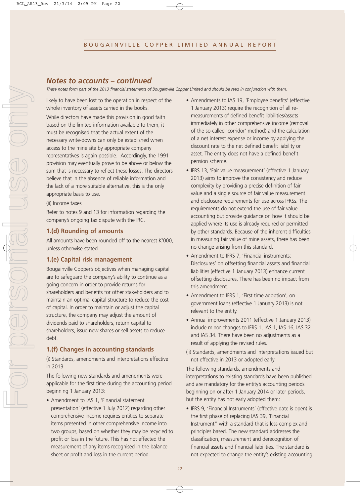#### *Notes to accounts – continued*

*These notes form part of the 2013 financial statements of Bougainville Copper Limited and should be read in conjunction with them.*

likely to have been lost to the operation in respect of the whole inventory of assets carried in the books.

While directors have made this provision in good faith based on the limited information available to them, it must be recognised that the actual extent of the necessary write-downs can only be established when access to the mine site by appropriate company representatives is again possible. Accordingly, the 1991 provision may eventually prove to be above or below the sum that is necessary to reflect these losses. The directors believe that in the absence of reliable information and the lack of a more suitable alternative, this is the only appropriate basis to use.

#### (ii) Income taxes

Refer to notes 9 and 13 for information regarding the company's ongoing tax dispute with the IRC.

#### **1.(d) Rounding of amounts**

All amounts have been rounded off to the nearest K'000, unless otherwise stated.

#### **1.(e) Capital risk management**

Bougainville Copper's objectives when managing capital are to safeguard the company's ability to continue as a going concern in order to provide returns for shareholders and benefits for other stakeholders and to maintain an optimal capital structure to reduce the cost of capital. In order to maintain or adjust the capital structure, the company may adjust the amount of dividends paid to shareholders, return capital to shareholders, issue new shares or sell assets to reduce debt.

#### **1.(f) Changes in accounting standards**

(i) Standards, amendments and interpretations effective in 2013

The following new standards and amendments were applicable for the first time during the accounting period beginning 1 January 2013:

• Amendment to IAS 1, 'Financial statement presentation' (effective 1 July 2012) regarding other comprehensive income requires entities to separate items presented in other comprehensive income into two groups, based on whether they may be recycled to profit or loss in the future. This has not effected the measurement of any items recognised in the balance sheet or profit and loss in the current period.

- Amendments to IAS 19, 'Employee benefits' (effective 1 January 2013) require the recognition of all remeasurements of defined benefit liabilities/assets immediately in other comprehensive income (removal of the so-called 'corridor' method) and the calculation of a net interest expense or income by applying the discount rate to the net defined benefit liability or asset. The entity does not have a defined benefit pension scheme.
- IFRS 13, 'Fair value measurement' (effective 1 January 2013) aims to improve the consistency and reduce complexity by providing a precise definition of fair value and a single source of fair value measurement and disclosure requirements for use across IFRSs. The requirements do not extend the use of fair value accounting but provide guidance on how it should be applied where its use is already required or permitted by other standards. Because of the inherent difficulties in measuring fair value of mine assets, there has been no change arising from this standard.
- Amendment to IFRS 7, 'Financial instruments: Disclosures' on offsetting financial assets and financial liabilities (effective 1 January 2013) enhance current offsetting disclosures. There has been no impact from this amendment.
- Amendment to IFRS 1, 'First time adoption', on government loans (effective 1 January 2013) is not relevant to the entity.
- Annual improvements 2011 (effective 1 January 2013) include minor changes to IFRS 1, IAS 1, IAS 16, IAS 32 and IAS 34. There have been no adjustments as a result of applying the revised rules.
- (ii) Standards, amendments and interpretations issued but not effective in 2013 or adopted early

The following standards, amendments and interpretations to existing standards have been published and are mandatory for the entity's accounting periods beginning on or after 1 January 2014 or later periods, but the entity has not early adopted them:

• IFRS 9, 'Financial Instruments' (effective date is open) is the first phase of replacing IAS 39, 'Financial Instrument" with a standard that is less complex and principles based. The new standard addresses the classification, measurement and derecognition of financial assets and financial liabilities. The standard is not expected to change the entity's existing accounting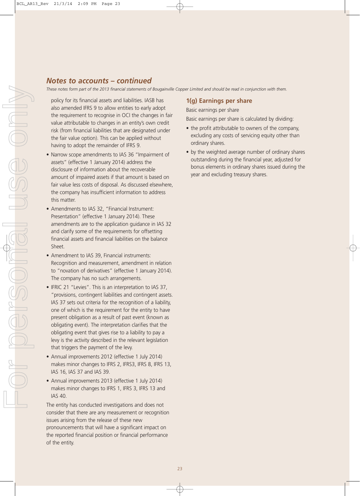#### *Notes to accounts – continued*

*These notes form part of the 2013 financial statements of Bougainville Copper Limited and should be read in conjunction with them.*

policy for its financial assets and liabilities. IASB has also amended IFRS 9 to allow entities to early adopt the requirement to recognise in OCI the changes in fair value attributable to changes in an entity's own credit risk (from financial liabilities that are designated under the fair value option). This can be applied without having to adopt the remainder of IFRS 9.

- Narrow scope amendments to IAS 36 "Impairment of assets" (effective 1 January 2014) address the disclosure of information about the recoverable amount of impaired assets if that amount is based on fair value less costs of disposal. As discussed elsewhere, the company has insufficient information to address this matter.
- Amendments to IAS 32, "Financial Instrument: Presentation" (effective 1 January 2014). These amendments are to the application guidance in IAS 32 and clarify some of the requirements for offsetting financial assets and financial liabilities on the balance Sheet.

For personal use only

- Amendment to IAS 39, Financial instruments: Recognition and measurement, amendment in relation to "novation of derivatives" (effective 1 January 2014). The company has no such arrangements.
- IFRIC 21 "Levies". This is an interpretation to IAS 37, "provisions, contingent liabilities and contingent assets. IAS 37 sets out criteria for the recognition of a liability, one of which is the requirement for the entity to have present obligation as a result of past event (known as obligating event). The interpretation clarifies that the obligating event that gives rise to a liability to pay a levy is the activity described in the relevant legislation that triggers the payment of the levy.
- Annual improvements 2012 (effective 1 July 2014) makes minor changes to IFRS 2, IFRS3, IFRS 8, IFRS 13, IAS 16, IAS 37 and IAS 39.
- Annual improvements 2013 (effective 1 July 2014) makes minor changes to IFRS 1, IFRS 3, IFRS 13 and IAS 40.

The entity has conducted investigations and does not consider that there are any measurement or recognition issues arising from the release of these new pronouncements that will have a significant impact on the reported financial position or financial performance of the entity.

#### **1(g) Earnings per share**

Basic earnings per share

Basic earnings per share is calculated by dividing:

- the profit attributable to owners of the company, excluding any costs of servicing equity other than ordinary shares.
- by the weighted average number of ordinary shares outstanding during the financial year, adjusted for bonus elements in ordinary shares issued during the year and excluding treasury shares.

Æ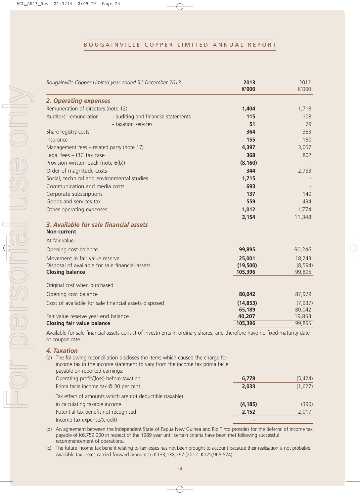| 1,404                                                                                                                    | 1,718                           |
|--------------------------------------------------------------------------------------------------------------------------|---------------------------------|
| 115                                                                                                                      | 108                             |
| 51                                                                                                                       | 79                              |
| 364                                                                                                                      | 353                             |
| 155                                                                                                                      | 150                             |
| 4,397                                                                                                                    | 3,057                           |
| 368                                                                                                                      | 802                             |
| (8, 160)                                                                                                                 |                                 |
| 344                                                                                                                      | 2,733                           |
| 1,715                                                                                                                    |                                 |
| 693                                                                                                                      |                                 |
| 137                                                                                                                      | 140                             |
| 559                                                                                                                      | 434                             |
| 1,012                                                                                                                    | 1,774                           |
| 3,154                                                                                                                    | 11,348                          |
|                                                                                                                          |                                 |
|                                                                                                                          |                                 |
| 99,895                                                                                                                   | 90,246                          |
| 25,001                                                                                                                   | 18,243                          |
| (19,500)                                                                                                                 | (8, 594)                        |
|                                                                                                                          | 99,895                          |
|                                                                                                                          |                                 |
| 80,042                                                                                                                   | 87,979                          |
|                                                                                                                          | (7, 937)                        |
| 65,189                                                                                                                   | 80,042                          |
| 40,207                                                                                                                   | 19,853                          |
|                                                                                                                          | 99,895                          |
| Available for sale financial assets consist of investments in ordinary shares, and therefore have no fixed maturity date |                                 |
|                                                                                                                          |                                 |
|                                                                                                                          | 105,396<br>(14, 853)<br>105,396 |

Operating profit/(loss) before taxation **6,778** (5,424) Prima facie income tax @ 30 per cent **2,033** (1,627) Tax effect of amounts which are not deductible (taxable) in calculating taxable income **(4,185)** (390) Potential tax benefit not recognised **2,152** 2,017 Income tax expense/(credit) **-** -

(b) An agreement between the Independent State of Papua New Guinea and Rio Tinto provides for the deferral of income tax payable of K6,759,000 in respect of the 1989 year until certain criteria have been met following successful recommencement of operations.

(c) The future income tax benefit relating to tax losses has not been brought to account because their realisation is not probable. Available tax losses carried forward amount to K133,138,267 (2012: K125,965,574).

For personal use on

 $\begin{picture}(40,40) \put(0,0){\line(1,0){10}} \put(15,0){\line(1,0){10}} \put(15,0){\line(1,0){10}} \put(15,0){\line(1,0){10}} \put(15,0){\line(1,0){10}} \put(15,0){\line(1,0){10}} \put(15,0){\line(1,0){10}} \put(15,0){\line(1,0){10}} \put(15,0){\line(1,0){10}} \put(15,0){\line(1,0){10}} \put(15,0){\line(1,0){10}} \put(15,0){\line(1$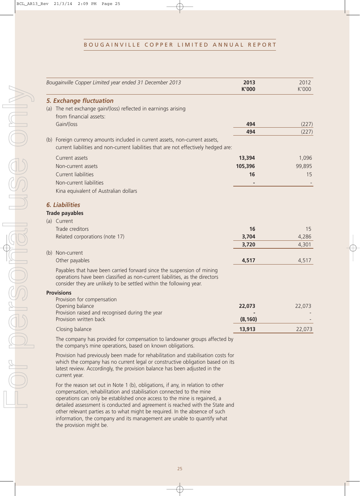| Bougainville Copper Limited year ended 31 December 2013                                                                                                                                                                                                            | 2013<br>K'000 | 2012<br>K'000 |
|--------------------------------------------------------------------------------------------------------------------------------------------------------------------------------------------------------------------------------------------------------------------|---------------|---------------|
| <b>5. Exchange fluctuation</b>                                                                                                                                                                                                                                     |               |               |
| (a) The net exchange gain/(loss) reflected in earnings arising                                                                                                                                                                                                     |               |               |
| from financial assets:                                                                                                                                                                                                                                             |               |               |
| Gain/(loss                                                                                                                                                                                                                                                         | 494           | (227)         |
|                                                                                                                                                                                                                                                                    | 494           | (227)         |
| (b) Foreign currency amounts included in current assets, non-current assets,<br>current liabilities and non-current liabilities that are not effectively hedged are:                                                                                               |               |               |
| Current assets                                                                                                                                                                                                                                                     | 13,394        | 1,096         |
| Non-current assets                                                                                                                                                                                                                                                 | 105,396       | 99,895        |
| Current liabilities                                                                                                                                                                                                                                                | 16            | 15            |
| Non-current liabilities                                                                                                                                                                                                                                            |               |               |
| Kina equivalent of Australian dollars                                                                                                                                                                                                                              |               |               |
| <b>6. Liabilities</b>                                                                                                                                                                                                                                              |               |               |
| <b>Trade payables</b><br>(a) Current                                                                                                                                                                                                                               |               |               |
| Trade creditors                                                                                                                                                                                                                                                    | 16            | 15            |
| Related corporations (note 17)                                                                                                                                                                                                                                     | 3,704         | 4,286         |
|                                                                                                                                                                                                                                                                    | 3,720         | 4,301         |
| Non-current<br>(b)                                                                                                                                                                                                                                                 |               |               |
| Other payables                                                                                                                                                                                                                                                     | 4,517         | 4,517         |
| Payables that have been carried forward since the suspension of mining<br>operations have been classified as non-current liabilities, as the directors<br>consider they are unlikely to be settled within the following year.                                      |               |               |
| <b>Provisions</b>                                                                                                                                                                                                                                                  |               |               |
| Provision for compensation                                                                                                                                                                                                                                         |               |               |
| Opening balance                                                                                                                                                                                                                                                    | 22,073        | 22,073        |
| Provision raised and recognised during the year<br>Provision written back                                                                                                                                                                                          | (8, 160)      |               |
| Closing balance                                                                                                                                                                                                                                                    | 13,913        | 22,073        |
| The company has provided for compensation to landowner groups affected by<br>the company's mine operations, based on known obligations.                                                                                                                            |               |               |
| Provision had previously been made for rehabilitation and stabilisation costs for<br>which the company has no current legal or constructive obligation based on its<br>latest review. Accordingly, the provision balance has been adjusted in the<br>current year. |               |               |
| For the reason set out in Note 1 (b), obligations, if any, in relation to other<br>compensation, rehabilitation and stabilisation connected to the mine<br>operations can only be established once access to the mine is regained, a                               |               |               |

detailed assessment is conducted and agreement is reached with the State and other relevant parties as to what might be required. In the absence of such information, the company and its management are unable to quantify what the provision might be.

 $\bigoplus$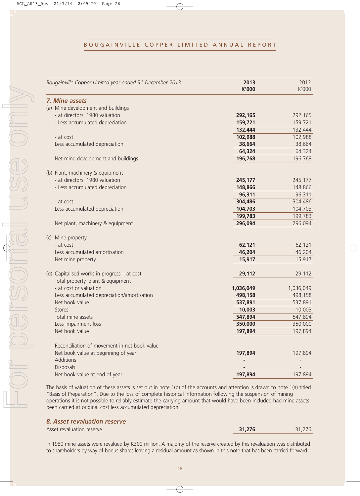| Bougainville Copper Limited year ended 31 December 2013 | 2013<br>K'000 | 2012<br>K'000 |
|---------------------------------------------------------|---------------|---------------|
| 7. Mine assets                                          |               |               |
| (a) Mine development and buildings                      |               |               |
| - at directors' 1980 valuation                          | 292,165       | 292,165       |
| - Less accumulated depreciation                         | 159,721       | 159,721       |
|                                                         | 132,444       | 132,444       |
| - at cost                                               | 102,988       | 102,988       |
| Less accumulated depreciation                           | 38,664        | 38,664        |
|                                                         | 64,324        | 64,324        |
| Net mine development and buildings                      | 196,768       | 196,768       |
| (b) Plant, machinery & equipment                        |               |               |
| - at directors' 1980 valuation                          | 245,177       | 245,177       |
| - Less accumulated depreciation                         | 148,866       | 148,866       |
|                                                         | 96,311        | 96,311        |
| - at cost                                               | 304,486       | 304,486       |
| Less accumulated depreciation                           | 104,703       | 104,703       |
|                                                         | 199,783       | 199,783       |
| Net plant, machinery & equipment                        | 296,094       | 296,094       |
| (c) Mine property                                       |               |               |
| - at cost                                               | 62,121        | 62,121        |
| Less accumulated amortisation                           | 46,204        | 46,204        |
| Net mine property                                       | 15,917        | 15,917        |
| (d) Capitalised works in progress - at cost             | 29,112        | 29,112        |
| Total property, plant & equipment                       |               |               |
| - at cost or valuation                                  | 1,036,049     | 1,036,049     |
| Less accumulated depreciation/amortisation              | 498,158       | 498,158       |
| Net book value                                          | 537,891       | 537,891       |
| <b>Stores</b>                                           | 10,003        | 10,003        |
| Total mine assets                                       | 547,894       | 547,894       |
| Less impairment loss                                    | 350,000       | 350,000       |
| Net book value                                          | 197,894       | 197,894       |
| Reconciliation of movement in net book value            |               |               |
| Net book value at beginning of year                     | 197,894       | 197,894       |
| <b>Additions</b>                                        |               |               |
| Disposals                                               |               |               |
| Net book value at end of year                           | 197,894       | 197,894       |

The basis of valuation of these assets is set out in note 1(b) of the accounts and attention is drawn to note 1(a) titled "Basis of Preparation". Due to the loss of complete historical information following the suspension of mining operations it is not possible to reliably estimate the carrying amount that would have been included had mine assets been carried at original cost less accumulated depreciation.

| <b>8. Asset revaluation reserve</b> |        |        |
|-------------------------------------|--------|--------|
| Asset revaluation reserve           | 31,276 | 31,276 |
|                                     |        |        |

In 1980 mine assets were revalued by K300 million. A majority of the reserve created by this revaluation was distributed to shareholders by way of bonus shares leaving a residual amount as shown in this note that has been carried forward.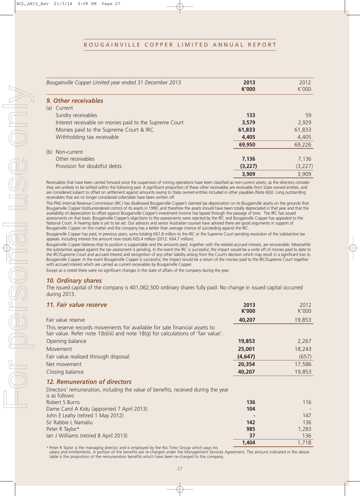| Bougainville Copper Limited year ended 31 December 2013 | 2013<br>K'000 | 2012<br>K'000 |
|---------------------------------------------------------|---------------|---------------|
| 9. Other receivables                                    |               |               |
| (a) Current                                             |               |               |
| Sundry receivables                                      | 133           | 59            |
| Interest receivable on monies paid to the Supreme Court | 3,579         | 2,929         |
| Monies paid to the Supreme Court & IRC                  | 61,833        | 61,833        |
| Withholding tax receivable                              | 4,405         | 4,405         |
|                                                         | 69,950        | 69,226        |
| Non-current<br>(b)                                      |               |               |
| Other receivables                                       | 7,136         | 7,136         |
| Provision for doubtful debts                            | (3,227)       | (3, 227)      |
|                                                         | 3,909         | 3,909         |

Receivables that have been carried forward since the suspension of mining operations have been classified as non-current assets, as the directors consider they are unlikely to be settled within the following year. A significant proportion of these other receivables are receivable from State owned entities, and are considered subject to offset on settlement against amounts owing to State owned entities included in other payables (Note 6(b)). Long outstanding receivables that are no longer considered collectable have been written off.

The PNG Internal Revenue Commission (IRC) has disallowed Bougainville Copper's claimed tax depreciation on its Bougainville assets on the grounds that Bougainville Copper lost/surrendered control of its assets in 1990, and therefore the assets should have been totally depreciated in that year and that the availability of depreciation to offset against Bougainville Copper's investment income has lapsed through the passage of time. The IRC has issued assessments on that basis. Bougainville Copper's objections to the assessments were rejected by the IRC and Bougainville Copper has appealed to the National Court. A hearing date is yet to be set. Our advisors and senior Australian counsel have advised there are good arguments in support of Bougainville Copper on this matter and the company has a better than average chance of succeeding against the IRC.

Bougainville Copper has paid, in previous years, sums totaling K61.8 million to the IRC or the Supreme Court pending resolution of the substantive tax appeals. Including interest the amount now totals K65.4 million (2012: K64.7 million).

Bougainville Copper believes that its position is supportable and the amounts paid, together with the related accrued interest, are recoverable. Meanwhile the substantive appeal against the tax assessment is pending. In the event the IRC is successful, the impact would be a write off of monies paid to date to the IRC/Supreme Court and accrued interest and recognition of any other liability arising from the Court's decision which may result in a significant loss to Bougainville Copper. In the event Bougainville Copper is successful, the impact would be a return of the monies paid to the IRC/Supreme Court together with accrued interest which are carried as current receivables by Bougainville Copper.

Except as is noted there were no significant changes in the state of affairs of the company during the year.

#### *10. Ordinary shares*

The issued capital of the company is 401,062,500 ordinary shares fully paid. No change in issued capital occurred during 2013.

|  |  |  |  |  | <b>11. Fair value reserve</b> |  |
|--|--|--|--|--|-------------------------------|--|
|--|--|--|--|--|-------------------------------|--|

| <b>11. Fair value reserve</b>                                                                                                                                      | 2013<br><b>K'000</b> | 2012<br>K'000 |
|--------------------------------------------------------------------------------------------------------------------------------------------------------------------|----------------------|---------------|
| Fair value reserve                                                                                                                                                 | 40,207               | 19,853        |
| This reserve records movements for available for sale financial assets to<br>fair value. Refer note $1(b)(iii)$ and note $18(g)$ for calculations of 'fair value'. |                      |               |
| Opening balance                                                                                                                                                    | 19,853               | 2,267         |
| Movement                                                                                                                                                           | 25,001               | 18,243        |
| Fair value realised through disposal                                                                                                                               | (4,647)              | (657)         |
| Net movement                                                                                                                                                       | 20,354               | 17,586        |
| Closing balance                                                                                                                                                    | 40,207               | 19,853        |
| <b>12. Remuneration of directors</b>                                                                                                                               |                      |               |

Directors' remuneration, including the value of benefits, received during the year is as follows: Robert S Burns **136** 116 Dame Carol A Kidu (appointed 7 April 2013) **104** -

| Darije Carol A Nigu (appolitieg 7 April 2013) | 1 V 4     |       |
|-----------------------------------------------|-----------|-------|
| John E Leahy (retired 1 May 2012)             | $\,$      | 147   |
| Sir Rabbie L Namaliu                          | 142       | 136   |
| Peter R Taylor*                               | 985       | 1.283 |
| lan J Williams (retired 8 April 2013)         | <b>37</b> | 136   |
|                                               | 1,404     | 1.718 |
|                                               |           |       |

\* Peter R Taylor is the managing director and is employed by the Rio Tinto Group which pays his

salary and entitlements. A portion of the benefits are re-charged under the Management Services Agreement. The amount indicated in the above<br>table is the proportion of the remuneration benefits which have been re-charged t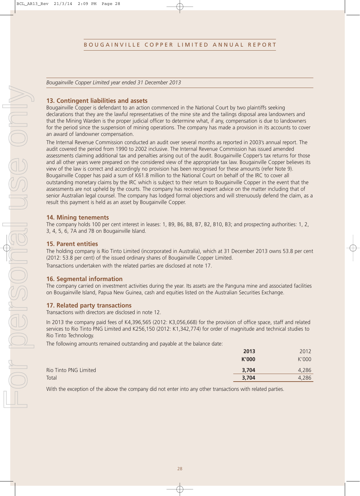*Bougainville Copper Limited year ended 31 December 2013*

#### **13. Contingent liabilities and assets**

Bougainville Copper is defendant to an action commenced in the National Court by two plaintiffs seeking declarations that they are the lawful representatives of the mine site and the tailings disposal area landowners and that the Mining Warden is the proper judicial officer to determine what, if any, compensation is due to landowners for the period since the suspension of mining operations. The company has made a provision in its accounts to cover an award of landowner compensation.

The Internal Revenue Commission conducted an audit over several months as reported in 2003's annual report. The audit covered the period from 1990 to 2002 inclusive. The Internal Revenue Commission has issued amended assessments claiming additional tax and penalties arising out of the audit. Bougainville Copper's tax returns for those and all other years were prepared on the considered view of the appropriate tax law. Bougainville Copper believes its view of the law is correct and accordingly no provision has been recognised for these amounts (refer Note 9). Bougainville Copper has paid a sum of K61.8 million to the National Court on behalf of the IRC to cover all outstanding monetary claims by the IRC which is subject to their return to Bougainville Copper in the event that the assessments are not upheld by the courts. The company has received expert advice on the matter including that of senior Australian legal counsel. The company has lodged formal objections and will strenuously defend the claim, as a result this payment is held as an asset by Bougainville Copper.

#### **14. Mining tenements**

The company holds 100 per cent interest in leases: 1, B9, B6, B8, B7, B2, B10, B3; and prospecting authorities: 1, 2, 3, 4, 5, 6, 7A and 7B on Bougainville Island.

#### **15. Parent entities**

The holding company is Rio Tinto Limited (incorporated in Australia), which at 31 December 2013 owns 53.8 per cent (2012: 53.8 per cent) of the issued ordinary shares of Bougainville Copper Limited.

Transactions undertaken with the related parties are disclosed at note 17.

#### **16. Segmental information**

The company carried on investment activities during the year. Its assets are the Panguna mine and associated facilities on Bougainville Island, Papua New Guinea, cash and equities listed on the Australian Securities Exchange.

#### **17. Related party transactions**

Transactions with directors are disclosed in note 12.

In 2013 the company paid fees of K4,396,565 (2012: K3,056,668) for the provision of office space, staff and related services to Rio Tinto PNG Limited and K256,150 (2012: K1,342,774) for order of magnitude and technical studies to Rio Tinto Technology.

The following amounts remained outstanding and payable at the balance date:

|                       | 2013  | 2012  |
|-----------------------|-------|-------|
|                       | K'000 | K'000 |
| Rio Tinto PNG Limited | 3,704 | 4,286 |
| Total                 | 3,704 | 4,286 |

With the exception of the above the company did not enter into any other transactions with related parties.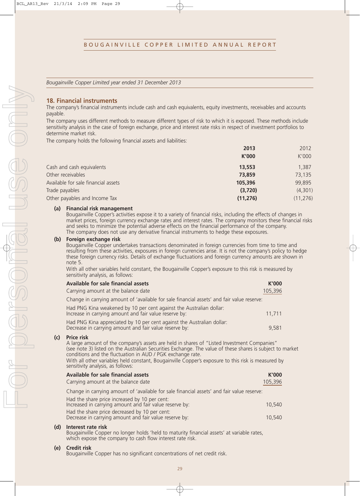#### **18. Financial instruments**

The company's financial instruments include cash and cash equivalents, equity investments, receivables and accounts payable.

The company uses different methods to measure different types of risk to which it is exposed. These methods include sensitivity analysis in the case of foreign exchange, price and interest rate risks in respect of investment portfolios to determine market risk.

The company holds the following financial assets and liabilities:

| 2013      | 2012      |
|-----------|-----------|
| K'000     | K'000     |
| 13,553    | 1,387     |
| 73,859    | 73,135    |
| 105,396   | 99,895    |
| (3,720)   | (4,301)   |
| (11, 276) | (11, 276) |
|           |           |

#### **(a) Financial risk management**

Bougainville Copper's activities expose it to a variety of financial risks, including the effects of changes in market prices, foreign currency exchange rates and interest rates. The company monitors these financial risks and seeks to minimize the potential adverse effects on the financial performance of the company. The company does not use any derivative financial instruments to hedge these exposures.

#### **(b) Foreign exchange risk**

Bougainville Copper undertakes transactions denominated in foreign currencies from time to time and resulting from these activities, exposures in foreign currencies arise. It is not the company's policy to hedge these foreign currency risks. Details of exchange fluctuations and foreign currency amounts are shown in note 5.

With all other variables held constant, the Bougainville Copper's exposure to this risk is measured by sensitivity analysis, as follows:

| Available for sale financial assets                                                                                                                                                                                                                                                                                                                                                                                                   | K'000   |  |
|---------------------------------------------------------------------------------------------------------------------------------------------------------------------------------------------------------------------------------------------------------------------------------------------------------------------------------------------------------------------------------------------------------------------------------------|---------|--|
| Carrying amount at the balance date                                                                                                                                                                                                                                                                                                                                                                                                   | 105,396 |  |
| Change in carrying amount of 'available for sale financial assets' and fair value reserve:                                                                                                                                                                                                                                                                                                                                            |         |  |
| Had PNG Kina weakened by 10 per cent against the Australian dollar:<br>Increase in carrying amount and fair value reserve by:                                                                                                                                                                                                                                                                                                         | 11,711  |  |
| Had PNG Kina appreciated by 10 per cent against the Australian dollar:<br>Decrease in carrying amount and fair value reserve by:                                                                                                                                                                                                                                                                                                      | 9.581   |  |
| <b>Price risk</b><br>A large amount of the company's assets are held in shares of "Listed Investment Companies"<br>(see note 3) listed on the Australian Securities Exchange. The value of these shares is subject to market<br>conditions and the fluctuation in AUD / PGK exchange rate.<br>With all other variables held constant, Bougainville Copper's exposure to this risk is measured by<br>sensitivity analysis, as follows: |         |  |

| Available for sale financial assets                                                                      | K'000   |
|----------------------------------------------------------------------------------------------------------|---------|
| Carrying amount at the balance date                                                                      | 105,396 |
| Change in carrying amount of 'available for sale financial assets' and fair value reserve:               |         |
| Had the share price increased by 10 per cent:<br>Increased in carrying amount and fair value reserve by: | 10,540  |
| Had the share price decreased by 10 per cent:<br>Decrease in carrying amount and fair value reserve by:  | 10,540  |

#### **(d) Interest rate risk**

Bougainville Copper no longer holds 'held to maturity financial assets' at variable rates, which expose the company to cash flow interest rate risk.

#### **(e) Credit risk**

**(c) Price risk**

Bougainville Copper has no significant concentrations of net credit risk.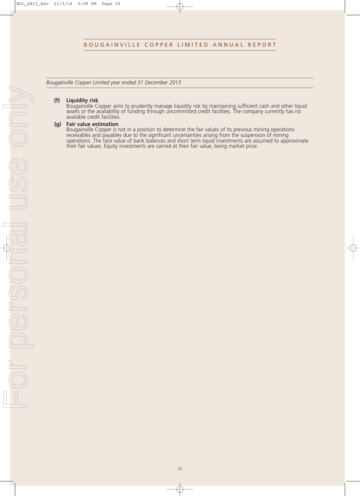*Bougainville Copper Limited year ended 31 December 2013*

#### **(f) Liquidity risk**

Bougainville Copper aims to prudently manage liquidity risk by maintaining sufficient cash and other liquid assets or the availability of funding through uncommitted credit facilities. The company currently has no available credit facilities.

#### **(g) Fair value estimation**

Bougainville Copper is not in a position to determine the fair values of its previous mining operations receivables and payables due to the significant uncertainties arising from the suspension of mining operations. The face value of bank balances and short term liquid investments are assumed to approximate their fair values. Equity investments are carried at their fair value, being market price.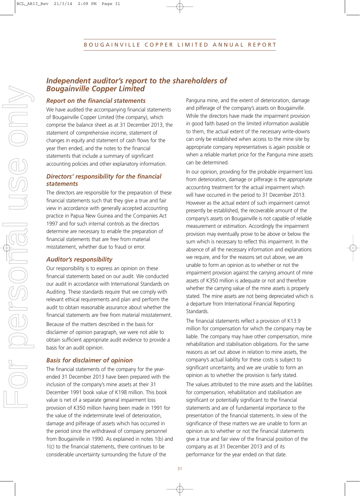# *Independent auditor's report to the shareholders of Bougainville Copper Limited*

#### *Report on the financial statements*

We have audited the accompanying financial statements of Bougainville Copper Limited (the company), which comprise the balance sheet as at 31 December 2013, the statement of comprehensive income, statement of changes in equity and statement of cash flows for the year then ended, and the notes to the financial statements that include a summary of significant accounting policies and other explanatory information.

#### *Directors' responsibility for the financial statements*

The directors are responsible for the preparation of these financial statements such that they give a true and fair view in accordance with generally accepted accounting practice in Papua New Guinea and the Companies Act 1997 and for such internal controls as the directors determine are necessary to enable the preparation of financial statements that are free from material misstatement, whether due to fraud or error.

#### *Auditor's responsibility*

Our responsibility is to express an opinion on these financial statements based on our audit. We conducted our audit in accordance with International Standards on Auditing. These standards require that we comply with relevant ethical requirements and plan and perform the audit to obtain reasonable assurance about whether the financial statements are free from material misstatement.

Because of the matters described in the basis for disclaimer of opinion paragraph, we were not able to obtain sufficient appropriate audit evidence to provide a basis for an audit opinion.

#### *Basis for disclaimer of opinion*

The financial statements of the company for the yearended 31 December 2013 have been prepared with the inclusion of the company's mine assets at their 31 December 1991 book value of K198 million. This book value is net of a separate general impairment loss provision of K350 million having been made in 1991 for the value of the indeterminate level of deterioration, damage and pilferage of assets which has occurred in the period since the withdrawal of company personnel from Bougainville in 1990. As explained in notes 1(b) and 1(c) to the financial statements, there continues to be considerable uncertainty surrounding the future of the

Panguna mine, and the extent of deterioration, damage and pilferage of the company's assets on Bougainville. While the directors have made the impairment provision in good faith based on the limited information available to them, the actual extent of the necessary write-downs can only be established when access to the mine site by appropriate company representatives is again possible or when a reliable market price for the Panguna mine assets can be determined.

In our opinion, providing for the probable impairment loss from deterioration, damage or pilferage is the appropriate accounting treatment for the actual impairment which will have occurred in the period to 31 December 2013. However as the actual extent of such impairment cannot presently be established, the recoverable amount of the company's assets on Bougainville is not capable of reliable measurement or estimation. Accordingly the impairment provision may eventually prove to be above or below the sum which is necessary to reflect this impairment. In the absence of all the necessary information and explanations we require, and for the reasons set out above, we are unable to form an opinion as to whether or not the impairment provision against the carrying amount of mine assets of K350 million is adequate or not and therefore whether the carrying value of the mine assets is properly stated. The mine assets are not being depreciated which is a departure from International Financial Reporting Standards.

The financial statements reflect a provision of K13.9 million for compensation for which the company may be liable. The company may have other compensation, mine rehabilitation and stabilisation obligations. For the same reasons as set out above in relation to mine assets, the company's actual liability for these costs is subject to significant uncertainty, and we are unable to form an opinion as to whether the provision is fairly stated.

The values attributed to the mine assets and the liabilities for compensation, rehabilitation and stabilisation are significant or potentially significant to the financial statements and are of fundamental importance to the presentation of the financial statements. In view of the significance of these matters we are unable to form an opinion as to whether or not the financial statements give a true and fair view of the financial position of the company as at 31 December 2013 and of its performance for the year ended on that date.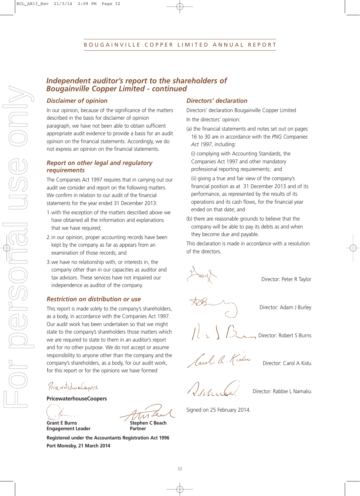### *Independent auditor's report to the shareholders of Bougainville Copper Limited - continued*

#### *Disclaimer of opinion*

In our opinion, because of the significance of the matters described in the basis for disclaimer of opinion paragraph, we have not been able to obtain sufficient appropriate audit evidence to provide a basis for an audit opinion on the financial statements. Accordingly, we do not express an opinion on the financial statements.

#### *Report on other legal and regulatory requirements*

The Companies Act 1997 requires that in carrying out our audit we consider and report on the following matters. We confirm in relation to our audit of the financial statements for the year ended 31 December 2013:

- 1.with the exception of the matters described above we have obtained all the information and explanations that we have required;
- 2.in our opinion, proper accounting records have been kept by the company as far as appears from an examination of those records; and
- 3.we have no relationship with, or interests in, the company other than in our capacities as auditor and tax advisors. These services have not impaired our independence as auditor of the company.

#### *Restriction on distribution or use*

This report is made solely to the company's shareholders, as a body, in accordance with the Companies Act 1997. Our audit work has been undertaken so that we might state to the company's shareholders those matters which we are required to state to them in an auditor's report and for no other purpose. We do not accept or assume responsibility to anyone other than the company and the company's shareholders, as a body, for our audit work, for this report or for the opinions we have formed

PriewatchwerCopers

**PricewaterhouseCoopers**

For personal use only

**Grant E Burns Stephen C Beach**<br> **Engagement Leader** Stephen C Beach<br> **Partner** 

**Engagement Leader** 

**Registered under the Accountants Registration Act 1996 Port Moresby, 21 March 2014**

#### *Directors' declaration*

Directors' declaration Bougainville Copper Limited In the directors' opinion:

(a) the financial statements and notes set out on pages 16 to 30 are in accordance with the *PNG Companies Act 1997*, including:

(i) complying with Accounting Standards, the Companies Act 1997 and other mandatory professional reporting requirements; and

(ii) giving a true and fair view of the company's financial position as at 31 December 2013 and of its performance, as represented by the results of its operations and its cash flows, for the financial year ended on that date; and

(b) there are reasonable grounds to believe that the company will be able to pay its debts as and when they become due and payable.

This declaration is made in accordance with a resolution of the directors.

Director: Peter R Taylor

Director: Adam J Burley

Director: Robert S Burns

Carol a. Kedu

Director: Carol A Kidu

Director: Rabbie L Namaliu

Signed on 25 February 2014.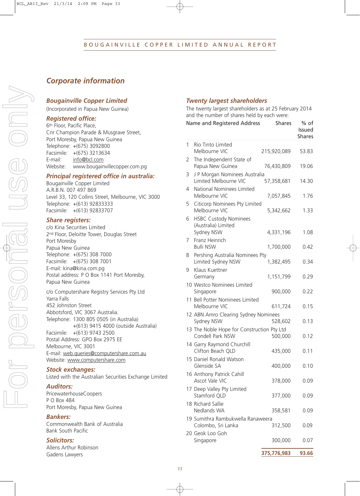#### *Corporate information*

#### *Bougainville Copper Limited*

(Incorporated in Papua New Guinea)

#### *Registered office:*

6th Floor, Pacific Place, Cnr Champion Parade & Musgrave Street, Port Moresby, Papua New Guinea Telephone: +(675) 3092800 Facsimile: +(675) 3213634 E-mail: info@bcl.com Website: www.bougainvillecopper.com.pg

#### *Principal registered office in australia:*

Bougainville Copper Limited A.R.B.N. 007 497 869 Level 33, 120 Collins Street, Melbourne, VIC 3000 Telephone: +(613) 92833333 Facsimile: +(613) 92833707

#### *Share registers:*

c/o Kina Securities Limited 2<sup>nd</sup> Floor, Deloitte Tower, Douglas Street Port Moresby Papua New Guinea Telephone: +(675) 308 7000 Facsimile: +(675) 308 7001 E-mail: kina@kina.com.pg Postal address: P O Box 1141 Port Moresby, Papua New Guinea

c/o Computershare Registry Services Pty Ltd Yarra Falls 452 Johnston Street Abbotsford, VIC 3067 Australia. Telephone: 1300 805 0505 (in Australia) +(613) 9415 4000 (outside Australia) Facsimile: +(613) 9743 2500 Postal Address: GPO Box 2975 EE Melbourne, VIC 3001 E-mail: web.queries@computershare.com.au Website: www.computershare.com

#### *Stock exchanges:*

Listed with the Australian Securities Exchange Limited

#### *Auditors:*

PricewaterhouseCoopers P O Box 484 Port Moresby, Papua New Guinea

#### *Bankers:*

Commonwealth Bank of Australia Bank South Pacific

#### *Solicitors:*

Allens Arthur Robinson Gadens Lawyers

#### *Twenty largest shareholders*

The twenty largest shareholders as at 25 February 2014 and the number of shares held by each were:

|   | Name and Registered Address                                    | <b>Shares</b> | % of<br><b>Issued</b><br><b>Shares</b> |
|---|----------------------------------------------------------------|---------------|----------------------------------------|
| 1 | Rio Tinto Limited<br>Melbourne VIC                             | 215,920,089   | 53.83                                  |
| 2 | The Independent State of<br>Papua New Guinea                   | 76,430,809    | 19.06                                  |
| 3 | J P Morgan Nominees Australia<br>Limited Melbourne VIC         | 57,358,681    | 14.30                                  |
| 4 | National Nominees Limited<br>Melbourne VIC                     | 7,057,845     | 1.76                                   |
| 5 | Citicorp Nominees Pty Limited<br>Melbourne VIC                 | 5,342,662     | 1.33                                   |
| 6 | <b>HSBC Custody Nominees</b><br>(Australia) Limited            |               |                                        |
| 7 | Sydney NSW<br>Franz Heinrich                                   | 4,331,196     | 1.08                                   |
| 8 | <b>Bulli NSW</b><br>Pershing Australia Nominees Pty            | 1,700,000     | 0.42                                   |
| 9 | Limited Sydney NSW<br>Klaus Kuettner                           | 1,382,495     | 0.34                                   |
|   | Germany<br>10 Westco Nominees Limited                          | 1,151,799     | 0.29                                   |
|   | Singapore                                                      | 900,000       | 0.22                                   |
|   | 11 Bell Potter Nominees Limited<br>Melbourne VIC               | 611,724       | 0.15                                   |
|   | 12 ABN Amro Clearing Sydney Nominees<br>Sydney NSW             | 528,602       | 0.13                                   |
|   | 13 The Noble Hope for Construction Pty Ltd<br>Condell Park NSW | 500,000       | 0.12                                   |
|   | 14 Garry Raymond Churchill<br>Clifton Beach QLD                | 435,000       | 0.11                                   |
|   | 15 Daniel Ronald Watson<br>Glenside SA                         | 400,000       | 0.10                                   |
|   | 16 Anthony Patrick Cahill<br>Ascot Vale VIC                    | 378,000       | 0.09                                   |
|   | 17 Deep Valley Pty Limited<br>Stamford QLD                     | 377,000       | 0.09                                   |
|   | 18 Richard Sallie<br>Nedlands WA                               | 358,581       | 0.09                                   |
|   | 19 Sumithra Rambukwella Ranaweera<br>Colombo, Sri Lanka        | 312,500       | 0.09                                   |
|   | 20 Geok Loo Goh<br>Singapore                                   | 300,000       | 0.07                                   |
|   |                                                                | 375,776,983   | 93.66                                  |

€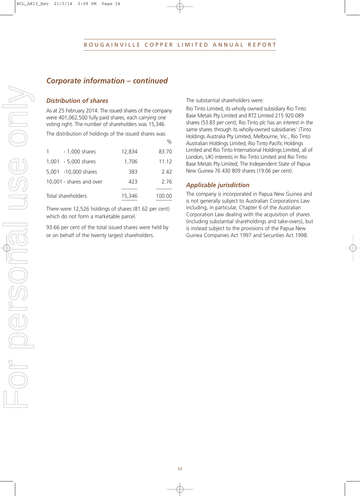$O/_{\Omega}$ 

### *Corporate information – continued*

#### *Distribution of shares*

As at 25 February 2014: The issued shares of the company were 401,062,500 fully paid shares, each carrying one voting right. The number of shareholders was 15,346.

The distribution of holdings of the issued shares was:

| $-1,000$ shares<br>$\mathbf{1}$ | 12,834 | 83.70  |
|---------------------------------|--------|--------|
| 1,001 - 5,000 shares            | 1,706  | 11.12  |
| 5,001 -10,000 shares            | 383    | 2.42   |
| 10,001 - shares and over        | 423    | 2.76   |
|                                 |        |        |
| Total shareholders              | 15,346 | 100.00 |
|                                 |        |        |

There were 12,526 holdings of shares (81.62 per cent) which do not form a marketable parcel.

93.66 per cent of the total issued shares were held by or on behalf of the twenty largest shareholders.

The substantial shareholders were:

Rio Tinto Limited, its wholly owned subsidiary Rio Tinto Base Metals Pty Limited and RTZ Limited 215 920 089 shares (53.83 per cent); Rio Tinto plc has an interest in the same shares through its wholly-owned subsidiaries' (Tinto Holdings Australia Pty Limited, Melbourne, Vic., Rio Tinto Australian Holdings Limited, Rio Tinto Pacific Holdings Limited and Rio Tinto International Holdings Limited, all of London, UK) interests in Rio Tinto Limited and Rio Tinto Base Metals Pty Limited; The Independent State of Papua New Guinea 76 430 809 shares (19.06 per cent).

#### *Applicable jurisdiction*

The company is incorporated in Papua New Guinea and is not generally subject to Australian Corporations Law including, in particular, Chapter 6 of the Australian Corporation Law dealing with the acquisition of shares (including substantial shareholdings and take-overs), but is instead subject to the provisions of the Papua New Guinea Companies Act 1997 and Securities Act 1998.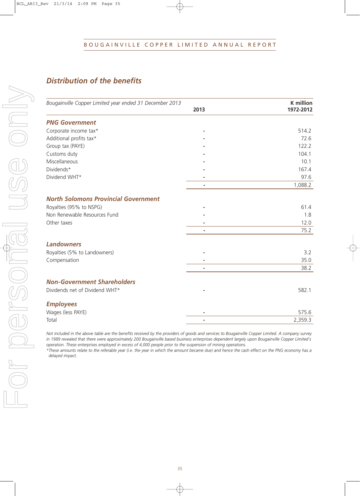# *Distribution of the benefits*

| Bougainville Copper Limited year ended 31 December 2013 | 2013           | <b>K</b> million<br>1972-2012 |
|---------------------------------------------------------|----------------|-------------------------------|
| <b>PNG Government</b>                                   |                |                               |
| Corporate income tax*                                   |                | 514.2                         |
| Additional profits tax*                                 |                | 72.6                          |
| Group tax (PAYE)                                        |                | 122.2                         |
| Customs duty                                            |                | 104.1                         |
| Miscellaneous                                           |                | 10.1                          |
| Dividends*                                              |                | 167.4                         |
| Dividend WHT*                                           |                | 97.6                          |
|                                                         |                | 1,088.2                       |
| <b>North Solomons Provincial Government</b>             |                |                               |
| Royalties (95% to NSPG)                                 |                | 61.4                          |
| Non Renewable Resources Fund                            |                | 1.8                           |
| Other taxes                                             |                | 12.0                          |
|                                                         | $\blacksquare$ | 75.2                          |
| <b>Landowners</b>                                       |                |                               |
| Royalties (5% to Landowners)                            |                | 3.2                           |
| Compensation                                            |                | 35.0                          |
|                                                         |                | 38.2                          |
| <b>Non-Government Shareholders</b>                      |                |                               |
| Dividends net of Dividend WHT*                          |                | 582.1                         |
| <b>Employees</b>                                        |                |                               |
| Wages (less PAYE)                                       |                | 575.6                         |
| Total                                                   |                | 2,359.3                       |

*Not included in the above table are the benefits received by the providers of goods and services to Bougainville Copper Limited. A company survey in 1989 revealed that there were approximately 200 Bougainville based business enterprises dependent largely upon Bougainville Copper Limited's operation. These enterprises employed in excess of 4,000 people prior to the suspension of mining operations.*

*\*These amounts relate to the referable year (i.e. the year in which the amount became due) and hence the cash effect on the PNG economy has a delayed impact.*

€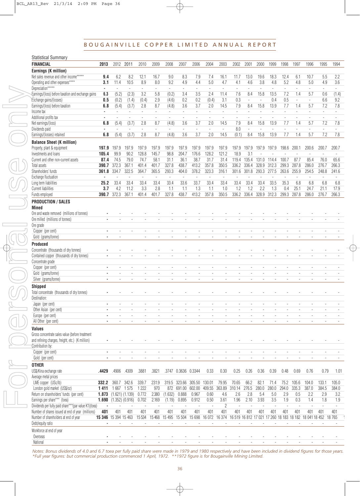| <b>Statistical Summary</b>                            |                             |                          |                          |                          |                          |                          |                          |                          |                          |                          |                          |                          |                          |                          |                          |                          |                          |                                                                |                          |
|-------------------------------------------------------|-----------------------------|--------------------------|--------------------------|--------------------------|--------------------------|--------------------------|--------------------------|--------------------------|--------------------------|--------------------------|--------------------------|--------------------------|--------------------------|--------------------------|--------------------------|--------------------------|--------------------------|----------------------------------------------------------------|--------------------------|
| <b>FINANCIAL</b>                                      | 2013                        | 2012 2011                |                          | 2010                     | 2009                     | 2008                     | 2007                     | 2006                     | 2004                     | 2003                     | 2002                     | 2001                     | 2000                     | 1999                     | 1998                     | 1997                     | 1996                     | 1995                                                           | 1994                     |
| Earnings (K million)                                  |                             |                          |                          |                          |                          |                          |                          |                          |                          |                          |                          |                          |                          |                          |                          |                          |                          |                                                                |                          |
| Net sales revenue and other income*****               | 9.4                         | 6.2                      | 8.2                      | 12.1                     | 16.7                     | 9.0                      | 8.3                      | 7.9                      | 7.4                      | 16.1                     | 11.7                     | 13.0                     | 19.6                     | 18.3                     | 12.4                     | 6.1                      | 10.7                     | 5.5                                                            | 2.2                      |
| Operating and other expenses****                      | 3.1                         | 11.4                     | 10.5                     | 8.9                      | 8.0                      | 9.2                      | 4.9                      | 4.4                      | 5.0                      | 4.7                      | 4.1                      | 4.6                      | 3.8                      | 4.8                      | 5.2                      | 4.8                      | 5.0                      | 4.9                                                            | 3.6                      |
| Depreciation*****                                     | ٠                           | $\sim$                   | $\overline{\phantom{a}}$ | $\sim$                   | $\sim$                   | $\overline{\phantom{a}}$ | $\sim$                   | $\overline{\phantom{a}}$ | $\sim$                   | $\sim$                   |                          |                          | $\overline{a}$           | $\overline{\phantom{a}}$ | $\overline{a}$           | $\overline{\phantom{a}}$ | $\overline{\phantom{a}}$ | $\sim$                                                         | $\overline{a}$           |
| Earnings/(loss) before taxation and exchange gains    | 6.3                         | (5.2)                    | (2.3)                    | 3.2                      | 5.8                      | (0.2)                    | 3.4                      | 3.5                      | 2.4                      | 11.4                     | 7.6                      | 8.4                      | 15.8                     | 13.5                     | 7.2                      | 1.4                      | 5.7                      | 0.6                                                            | (1.4)                    |
| Exchange gains/(losses)                               | 0.5                         | (0.2)                    | (1.4)                    | (0.4)                    | 2.9                      | (4.6)                    | 0.2                      | 0.2                      | (0.4)                    | 3.1                      | 0.3                      | $\overline{\phantom{a}}$ | $\overline{a}$           | 0.4                      | 0.5                      | $\overline{\phantom{a}}$ | $\overline{\phantom{a}}$ | 6.6                                                            | 9.2                      |
| Earnings/(loss) before taxation                       | 6.8                         | (5.4)                    | (3.7)                    | 2.8                      | 8.7                      | (4.8)                    | 3.6                      | 3.7                      | 2.0                      | 14.5                     | 7.9                      | 8.4                      | 15.8                     | 13.9                     | 7.7                      | 1.4                      | 5.7                      | 7.2                                                            | 7.8                      |
| Income tax                                            | ٠                           | $\overline{\phantom{a}}$ | $\sim$                   | $\overline{\phantom{a}}$ | $\overline{\phantom{a}}$ | $\sim$                   | $\overline{\phantom{a}}$ | $\overline{\phantom{a}}$ | ٠.                       | $\overline{\phantom{a}}$ | $\overline{\phantom{a}}$ | $\overline{\phantom{a}}$ | $\overline{a}$           | $\overline{\phantom{a}}$ | $\overline{\phantom{a}}$ | $\overline{\phantom{a}}$ | $\overline{\phantom{a}}$ | $\sim$                                                         | $\overline{\phantom{a}}$ |
| Additional profits tax                                | $\blacksquare$              | $\overline{\phantom{a}}$ | $\overline{\phantom{a}}$ |                          | $\overline{\phantom{a}}$ | $\overline{\phantom{a}}$ | $\overline{\phantom{a}}$ | $\overline{\phantom{a}}$ | $\overline{\phantom{a}}$ | $\overline{\phantom{a}}$ |                          |                          |                          |                          |                          |                          | $\overline{\phantom{a}}$ | $\overline{\phantom{a}}$                                       | $\sim$                   |
| Net earnings/(loss)                                   | 6.8                         | (5.4)                    | (3.7)                    | 2.8                      | 8.7                      | (4.8)                    | 3.6                      | 3.7                      | 2.0                      | 14.5                     | 7.9                      | 8.4                      | 15.8                     | 13.9                     | 7.7                      | 1.4                      | 5.7                      | 7.2                                                            | 7.8                      |
| Dividends paid                                        | $\blacksquare$              | $\overline{\phantom{a}}$ |                          | $\overline{\phantom{a}}$ | $\overline{\phantom{a}}$ | $\overline{\phantom{a}}$ | $\sim$                   | ÷,                       | $\overline{\phantom{a}}$ | $\overline{\phantom{a}}$ | 8.0                      |                          |                          | $\overline{\phantom{a}}$ | ٠                        |                          | $\overline{\phantom{a}}$ | ÷,                                                             | ٠                        |
| Earnings/(losses) retained                            | 6.8                         | (5.4)                    | (3.7)                    | 2.8                      | 8.7                      | (4.8)                    | 3.6                      | 3.7                      | 2.0                      | 14.5                     | (0.1)                    | 8.4                      | 15.8                     | 13.9                     | 7.7                      | 1.4                      | 5.7                      | 7.2                                                            | 7.8                      |
| <b>Balance Sheet (K million)</b>                      |                             |                          |                          |                          |                          |                          |                          |                          |                          |                          |                          |                          |                          |                          |                          |                          |                          |                                                                |                          |
| Property, plant & equipment                           | 197.9                       | 197.9                    | 197.9                    | 197.9                    | 197.9                    | 197.9                    | 197.9                    | 197.9                    | 197.9                    | 197.9                    | 197.9                    | 197.9                    | 197.9                    | 197.9                    | 198.6                    | 200.1                    | 200.6                    | 200.7                                                          | 200.7                    |
| Investments and loans                                 | 105.4                       | 99.9                     | 90.2                     | 128.8                    | 145.7                    | 98.8                     | 204.7                    | 176.6                    | 128.2                    | 121.2                    | 18.9                     | 3.1                      |                          |                          |                          |                          |                          | ÷                                                              |                          |
| Current and other non-current assets                  | 87.4                        | 74.5                     | 79.0                     | 74.7                     | 58.1                     | 31.1                     | 36.1                     | 38.7                     | 31.7                     | 31.4                     | 119.4                    | 135.4                    | 131.0                    | 114.4                    | 100.7                    | 87.7                     | 85.4                     | 76.0                                                           | 65.6                     |
| Total assets                                          | 390.7                       | 372.3                    | 367.1                    | 401.4                    | 401.7                    | 327.8                    | 438.7                    | 413.2                    | 357.8                    | 350.5                    | 336.2                    | 336.4                    | 328.9                    | 312.3                    | 299.3                    | 287.8                    | 286.0                    | 276.7                                                          | 266.3                    |
| Shareholders' funds                                   | 361.8                       | 334.7                    | 322.5                    | 364.7                    | 365.5                    | 293.3                    | 404.0                    | 378.2                    | 323.3                    | 316.1                    | 301.6                    | 301.8                    | 293.3                    | 277.5                    | 263.6                    | 255.9                    | 254.5                    | 248.8                                                          | 241.6                    |
| Exchange fluctuation                                  |                             |                          |                          | $\overline{\phantom{a}}$ |                          | $\overline{\phantom{a}}$ |                          |                          | $\overline{\phantom{a}}$ | $\overline{\phantom{a}}$ |                          |                          |                          |                          |                          |                          |                          | $\overline{a}$                                                 | $\sim$                   |
| Long term liabilities                                 | 25.2                        | 33.4                     | 33.4                     | 33.4                     | 33.4                     | 33.4                     | 33.6                     | 33.7                     | 33.4                     | 33.4                     | 33.4                     | 33.4                     | 33.4                     | 33.5                     | 35.3                     | 6.8                      | 6.8                      | 6.8                                                            | 6.8                      |
| <b>Current liabilities</b>                            | 3.7                         | 4.2                      | 11.2                     | 3.3                      | 2.8                      | 1.1                      | 1.1                      | 1.3                      | 1.1                      | 1.0                      | 1.2                      | 1.2                      | 2.2                      | 1.3                      | 0.4                      | 25.1                     | 24.7                     | 21.1                                                           | 17.9                     |
| Funds employed                                        | 390.7                       | 372.3                    | 367.1                    | 401.4                    | 401.7                    | 327.8                    | 438.7                    | 413.2                    | 357.8                    | 350.5                    | 336.2                    | 336.4                    | 328.9                    | 312.3                    | 299.3                    | 287.8                    | 286.0                    | 276.7                                                          | 266.3                    |
| <b>PRODUCTION / SALES</b>                             |                             |                          |                          |                          |                          |                          |                          |                          |                          |                          |                          |                          |                          |                          |                          |                          |                          |                                                                |                          |
| <b>Mined</b>                                          |                             |                          |                          |                          |                          |                          |                          |                          |                          |                          |                          |                          |                          |                          |                          |                          |                          |                                                                |                          |
| Ore and waste removed (millions of tonnes)            |                             |                          |                          |                          |                          |                          |                          |                          |                          |                          |                          |                          |                          |                          |                          |                          |                          |                                                                |                          |
| Ore milled (millions of tonnes)                       |                             |                          |                          |                          |                          |                          |                          |                          |                          |                          |                          |                          |                          |                          |                          |                          |                          |                                                                |                          |
| Ore grade                                             |                             |                          |                          |                          |                          |                          |                          |                          |                          |                          |                          |                          |                          |                          |                          |                          |                          |                                                                |                          |
| Copper (per cent)                                     |                             |                          |                          |                          |                          |                          |                          |                          |                          |                          |                          |                          |                          |                          |                          |                          |                          |                                                                |                          |
| Gold (grams/tonne)                                    |                             |                          |                          |                          |                          |                          |                          |                          |                          |                          |                          |                          |                          |                          |                          |                          |                          |                                                                |                          |
|                                                       |                             |                          |                          |                          |                          |                          |                          |                          |                          |                          |                          |                          |                          |                          |                          |                          |                          |                                                                |                          |
| Produced                                              |                             |                          |                          |                          |                          |                          |                          |                          |                          |                          |                          |                          |                          |                          |                          |                          |                          |                                                                |                          |
| Concentrate (thousands of dry tonnes)                 |                             |                          |                          |                          |                          |                          |                          |                          |                          |                          |                          |                          |                          |                          |                          |                          |                          |                                                                |                          |
| Contained copper (thousands of dry tonnes)            |                             |                          |                          |                          |                          |                          |                          |                          |                          |                          |                          |                          |                          |                          |                          |                          |                          |                                                                |                          |
| Concentrate grade                                     |                             |                          |                          |                          |                          |                          |                          |                          |                          |                          |                          |                          |                          |                          |                          |                          |                          |                                                                |                          |
| Copper (per cent)<br>Gold (grams/tonne)               |                             |                          |                          |                          |                          |                          |                          |                          |                          |                          |                          |                          |                          |                          |                          |                          |                          |                                                                |                          |
| Silver (grams/tonne)                                  | $\overline{\phantom{a}}$    |                          |                          | $\overline{\phantom{a}}$ |                          | $\overline{\phantom{a}}$ |                          | $\overline{\phantom{a}}$ | $\overline{\phantom{a}}$ | $\overline{\phantom{a}}$ |                          | $\overline{\phantom{a}}$ | $\overline{\phantom{a}}$ |                          | $\overline{\phantom{a}}$ |                          | $\overline{\phantom{a}}$ | $\overline{\phantom{a}}$                                       |                          |
|                                                       |                             |                          |                          |                          |                          |                          |                          |                          |                          |                          |                          |                          |                          |                          |                          |                          |                          |                                                                |                          |
| <b>Shipped</b>                                        |                             |                          |                          |                          |                          |                          |                          |                          |                          |                          |                          |                          |                          |                          |                          |                          |                          |                                                                |                          |
| Total concentrate (thousands of dry tonnes)           |                             |                          |                          |                          |                          |                          |                          |                          |                          |                          |                          |                          |                          |                          |                          |                          |                          |                                                                |                          |
| Destination:                                          |                             |                          |                          |                          |                          |                          |                          |                          |                          |                          |                          |                          |                          |                          |                          |                          |                          |                                                                |                          |
| Japan (per cent)                                      |                             |                          |                          |                          |                          |                          |                          |                          |                          |                          |                          |                          |                          |                          |                          |                          |                          |                                                                |                          |
| Other Asian (per cent)                                |                             |                          |                          |                          |                          |                          |                          |                          |                          |                          |                          |                          |                          |                          |                          |                          |                          |                                                                | $\sim$                   |
| Europe (per cent)                                     |                             |                          |                          |                          |                          |                          |                          |                          |                          |                          |                          |                          |                          |                          |                          |                          |                          |                                                                |                          |
| All Other (per cent)                                  | $\blacksquare$              |                          |                          |                          |                          |                          |                          |                          |                          |                          |                          |                          |                          |                          |                          |                          |                          |                                                                |                          |
| <b>Values</b>                                         |                             |                          |                          |                          |                          |                          |                          |                          |                          |                          |                          |                          |                          |                          |                          |                          |                          |                                                                |                          |
| Gross concentrate sales value (before treatment       |                             |                          |                          |                          |                          |                          |                          |                          |                          |                          |                          |                          |                          |                          |                          |                          |                          |                                                                |                          |
| and refining charges, freight, etc.) (K million)      |                             |                          |                          |                          |                          |                          |                          |                          |                          |                          |                          |                          |                          |                          |                          |                          |                          |                                                                |                          |
| Contribution by:                                      |                             |                          |                          |                          |                          |                          |                          |                          |                          |                          |                          |                          |                          |                          |                          |                          |                          |                                                                |                          |
| Copper (per cent)                                     |                             |                          |                          |                          |                          |                          |                          |                          |                          |                          |                          |                          |                          |                          |                          |                          |                          |                                                                |                          |
| Gold (per cent)                                       | $\blacksquare$              |                          |                          |                          |                          |                          |                          |                          |                          |                          |                          |                          |                          |                          |                          |                          |                          |                                                                |                          |
| <b>OTHER</b>                                          |                             |                          |                          |                          |                          |                          |                          |                          |                          |                          |                          |                          |                          |                          |                          |                          |                          |                                                                |                          |
| US\$/Kina exchange rate                               | .4429                       | .4906                    | .4309                    | .3881                    | .3821                    |                          | .3747 0.3636 0.3344      |                          | 0.33                     | 0.30                     | 0.25                     | 0.26                     | 0.36                     | 0.39                     | 0.48                     | 0.69                     | 0.76                     | 0.79                                                           | 1.01                     |
| Average metal prices                                  |                             |                          |                          |                          |                          |                          |                          |                          |                          |                          |                          |                          |                          |                          |                          |                          |                          |                                                                |                          |
| LME copper (USc/lb)                                   | 332.2                       | 360.7                    | 342.6                    | 339.7                    | 231.9                    | 319.5                    |                          | 323.66 305.50            | 130.01                   | 79.95                    | 70.65                    | 66.2                     | 82.1                     | 71.4                     | 75.2                     | 105.6                    | 104.0                    | 133.1                                                          | 105.0                    |
| London gold market (US\$/oz)                          | 1411 1667                   |                          | 1575                     | 1 2 2 2                  | 970                      |                          | 872 691.00               | 602.00                   | 409.55                   | 363.89                   | 310.14 276.5             |                          | 280.0                    | 280.0 294.0              |                          | 335.3                    | 387.0                    | 384.5                                                          | 384.0                    |
| Return on shareholders' funds (per cent)              | 1.873 (1.621) (1.139) 0.772 |                          |                          |                          | 2.380                    | $(1.632)$ 0.888          |                          | 0.967                    | 0.60                     | 4.6                      | 2.6                      | 2.8                      | 5.4                      | $5.0\,$                  | 2.9                      | 0.5                      | 2.2                      | 2.9                                                            | 3.2                      |
| Earnings per share*** (toea)                          | 1.690 (1.352) (0.916) 0.702 |                          |                          |                          | 2.169                    | (1.19)                   | 0.895                    | 0.912                    | $0.50\,$                 | 3.61                     | 1.96                     | 2.10                     | 3.93                     | 3.5                      | 1.9                      | 0.3                      | 1.4                      | 1.8                                                            | 1.9                      |
| Dividends per fully paid share***(par value K1)(toea) |                             | $\sim$                   |                          | $\overline{a}$           |                          | ٠                        |                          |                          | $\sim$                   | $\overline{2}$           |                          |                          | $\overline{\phantom{a}}$ |                          | $\overline{\phantom{a}}$ | $\overline{\phantom{a}}$ | $\overline{a}$           | $\overline{\phantom{a}}$                                       | $\overline{\phantom{a}}$ |
| Number of shares issued at end of year (millions)     | 401                         | 401                      | 401                      | 401                      | 401                      | 401                      | 401                      | 401                      | 401                      | 401                      | 401                      | 401                      | 401                      | 401                      | 401                      | 401                      | 401                      | 401                                                            | 401                      |
| Number of shareholders at end of year                 | 15 346 15 394 15 463        |                          |                          | 15 5 34                  | 15468                    | 15 4 95                  | 15 504                   | 15 698                   | 16 072 16 374            |                          |                          |                          |                          |                          |                          |                          |                          | 16 519 16 812 17 021 17 260 18 183 18 182 18 041 18 452 18 765 |                          |
|                                                       |                             |                          |                          |                          |                          |                          |                          |                          |                          |                          |                          |                          |                          |                          |                          |                          |                          |                                                                |                          |
| Debt/equity ratio                                     |                             |                          |                          |                          |                          |                          |                          |                          |                          |                          |                          |                          |                          |                          |                          |                          |                          |                                                                |                          |
|                                                       |                             |                          |                          |                          |                          |                          |                          |                          |                          |                          |                          |                          |                          |                          |                          |                          |                          |                                                                |                          |
| Workforce at end of year<br>Overseas                  |                             |                          |                          |                          |                          |                          |                          |                          |                          |                          |                          |                          |                          |                          |                          |                          |                          |                                                                |                          |

*Notes: Bonus dividends of 4.0 and 6.7 toea per fully paid share were made in 1979 and 1980 respectively and have been included in dividend figures for those years. \*Full year figures: but commercial production commenced 1 April, 1972. \*\*1972 figure is for Bougainville Mining Limited.*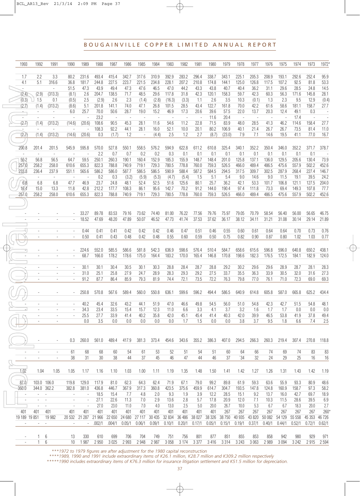|  | 1993                     | 1992                                                 | 1991                                                 | 1990                                                 | 1989                                                 | 1988           | 1987               | 1986                             | 1985                             | 1984                             | 1983                             | 1982           | 1981                             | 1980            | 1979                                                    | 1978           | 1977               | 1976                             | 1975                             | 1974           | 1973                            | 1972*                |
|--|--------------------------|------------------------------------------------------|------------------------------------------------------|------------------------------------------------------|------------------------------------------------------|----------------|--------------------|----------------------------------|----------------------------------|----------------------------------|----------------------------------|----------------|----------------------------------|-----------------|---------------------------------------------------------|----------------|--------------------|----------------------------------|----------------------------------|----------------|---------------------------------|----------------------|
|  |                          |                                                      |                                                      |                                                      |                                                      |                |                    |                                  |                                  |                                  |                                  |                |                                  |                 |                                                         |                |                    |                                  |                                  |                |                                 |                      |
|  | 1.7<br>4.1               | 2.2<br>5.1                                           | 3.3<br>316.6                                         | 80.2<br>36.8                                         | 231.6<br>181.7                                       | 493.4<br>244.8 | 415.4<br>227.5     | 342.7<br>223.7                   | 317.6<br>221.5                   | 310.9<br>234.8                   | 392.9<br>228.1                   | 283.2<br>207.2 | 296.4<br>210.8                   | 338.7<br>174.8  | 343.1<br>144.1                                          | 225.1<br>125.0 | 205.3<br>126.8     | 208.9<br>117.5                   | 193.1<br>107.2                   | 292.6<br>92.5  | 252.4<br>81.8                   | 95.9<br>53.3         |
|  |                          |                                                      | $\overline{\phantom{a}}$                             | 51.5                                                 | 47.3                                                 | 43.9           | 49.4               | 47.3                             | 47.6                             | 46.5                             | 47.0                             | 44.2           | 43.3                             | 43.8            | 40.7                                                    | 40.4           | 36.2               | 31.1                             | 29.6                             | 28.5           | 24.8                            | 14.5                 |
|  | (2.4)                    | (2.9)                                                | (313.3)                                              | (8.1)                                                | 2.6                                                  | 204.7          | 138.5              | 71.7                             | 48.5                             | 29.6                             | 117.8                            | 31.8           | 42.3                             | 120.1           | 158.3                                                   | 59.7           | 42.3               | 60.3                             | 56.3                             | 171.6          | 145.8                           | 28.1                 |
|  | (0.3)                    | 1.5                                                  | 0.1                                                  | (0.5)                                                | 2.5                                                  | (2.9)          | 2.6                | 2.3                              | (1.4)                            | (2.8)                            | (16.3)                           | (3.3)          | 1.1                              | 2.6             | 3.5                                                     | 10.3           | (0.1)              | 1.3                              | 2.3                              | 9.5            | 12.9                            | (0.4)                |
|  | (2.7)                    | (1.4)                                                | (313.2)                                              | (8.6)                                                | 5.1                                                  | 201.8          | 141.1              | 74.0                             | 47.1                             | 26.8                             | 101.5                            | 28.5           | 43.4                             | 122.7           | 161.8                                                   | 70.0           | 42.2               | 61.6                             | 58.6                             | 181.1          | 158.7                           | 27.7                 |
|  |                          | $\overline{\phantom{a}}$<br>$\overline{\phantom{a}}$ | $\overline{\phantom{a}}$<br>$\overline{\phantom{a}}$ | 6.0<br>$\overline{\phantom{a}}$                      | 25.7<br>$\overline{\phantom{a}}$                     | 70.0<br>23.2   | 50.6<br>$\sim$ $-$ | 28.7<br>$\overline{\phantom{a}}$ | 19.0<br>$\overline{\phantom{a}}$ | 15.2<br>$\overline{\phantom{a}}$ | 46.9<br>$\overline{\phantom{a}}$ | 17.3<br>$\sim$ | 20.6<br>$\overline{\phantom{a}}$ | 39.6<br>11.6    | 57.5<br>20.4                                            | 22.0<br>$\sim$ | 13.7<br>$\sim$ $-$ | 20.3<br>$\overline{\phantom{a}}$ | 12.4<br>$\overline{\phantom{a}}$ | 49.1<br>17.4   | 0.3<br>$\overline{\phantom{a}}$ | $\sim$ $-$           |
|  | (2.7)                    | (1.4)                                                | (313.2)                                              | (14.6)                                               | (20.6)                                               | 108.6          | 90.5               | 45.3                             | 28.1                             | 11.6                             | 54.6                             | 11.2           | 22.8                             | 71.5            | 83.9                                                    | 48.0           | 28.5               | 41.3                             | 46.2                             | 114.6          | 158.4                           | 27.7                 |
|  |                          |                                                      | $\overline{\phantom{a}}$                             | $\overline{\phantom{a}}$                             | $\overline{\phantom{a}}$                             | 108.3          | 92.2               | 44.1                             | 28.1                             | 16.0                             | 52.1                             | 10.0           | 20.1                             | 80.2            | 106.9                                                   | 40.1           | 21.4               | 26.7                             | 26.7                             | 73.5           | 81.4                            | 11.0                 |
|  | (2,7)                    | (1.4)                                                | (313.2)                                              | (14.6)                                               | (20.6)                                               | 0.3            | (1.7)              | 1.2                              | $\overline{\phantom{a}}$         | (4.4)                            | 2.5                              | 1.2            | 2.7                              | (8.7)           | (23.0)                                                  | 7.9            | 7.1                | 14.6                             | 19.5                             | 41.1           | 77.0                            | 16.7                 |
|  |                          |                                                      |                                                      |                                                      |                                                      |                |                    |                                  |                                  |                                  |                                  |                |                                  |                 |                                                         |                |                    |                                  |                                  |                |                                 |                      |
|  | 200.8                    | 201.4                                                | 201.5                                                | 545.9                                                | 595.8                                                | 570.0          | 527.8              | 550.1                            | 558.5                            | 576.2                            | 594.9                            | 622.8          | 611.2                            | 610.8           | 325.4                                                   | 340.1          | 352.2              | 350.4                            | 346.0                            | 352.2          | 371.7                           | 378.7                |
|  | $\sim$<br>56.2           | $\overline{\phantom{a}}$<br>56.8                     | $\overline{\phantom{a}}$<br>56.5                     | $\overline{\phantom{a}}$<br>64.7                     | $\overline{\phantom{a}}$<br>59.5                     | 2.2<br>250.1   | 0.7<br>260.3       | 0.7<br>190.1                     | 0.2<br>160.4                     | 0.2<br>152.9                     | 0.3<br>185.3                     | 0.1<br>155.9   | 0.1<br>148.7                     | 0.1<br>148.4    | 0.1<br>201.0                                            | 0.1<br>125.8   | 0.1<br>137.1       | 0.1<br>136.0                     | 0.1<br>129.5                     | 0.1<br>205.6   | 0.1<br>130.4                    | $\sim$<br>73.9       |
|  | 257,0                    | 258.2                                                | 258.0                                                | 610.6                                                | 655.3                                                | 822.3          | 788.8              | 740.9                            | 719.1                            | 729.3                            | 780.5                            | 778.8          | 760.0                            | 759.3           | 526.5                                                   | 466.0          | 489.4              | 486.5                            | 475.6                            | 557.9          | 502.2                           | 452.6                |
|  | 233.8                    | 236.4                                                | 237.9                                                | 551.1                                                | 565.6                                                | 586.2          | 586.0              | 587.7                            | 586.5                            | 586.5                            | 590.9                            | 588.4          | 587.2                            | 584.5           | 294.5                                                   | 317.5          | 309.7              | 302.5                            | 287.9                            | 268.4          | 227.4                           | 146.7                |
|  |                          | $\sim$                                               | $\sim$                                               | $\sim$                                               | $\overline{\phantom{a}}$                             | 0.2            | 0.3                | (3.2)                            | (5.9)                            | (5.3)                            | (4.7)                            | (5.4)          | 1.5                              | 5.1             | 5.4                                                     | 9.0            | 14.6               | 9.0                              | 11.5                             | 19.1           | 39.5                            | 24.2                 |
|  | 6.8                      | 6.8                                                  | 6.8                                                  | 47.7                                                 | 46.9                                                 | 23.7           | 24.8               | 48.1                             | 52.4                             | 52.5                             | 51.6                             | 125.6          | 80.1                             | 25.7            | 36.2                                                    | 42.1           | 53.3               | 101.7                            | 106.8                            | 121.1          | 127.5                           | 204.0                |
|  | 16.4<br>257.0            | 15.0<br>258.2                                        | 13.3<br>258.0                                        | 11.8<br>610.6                                        | 42.8<br>655.3                                        | 212.2<br>822.3 | 177.7<br>788.8     | 108.3<br>740.9                   | 86.1<br>719.1                    | 95.6<br>729.3                    | 142.7<br>780.5                   | 70.2<br>778.8  | 91.2<br>760.0                    | 144.0<br>759.3  | 190.4<br>526.5                                          | 97.4<br>466.0  | 111.8<br>489.4     | 73.3<br>486.5                    | 69.4<br>475.6                    | 149.3<br>557.9 | 107.8<br>502.2                  | 77.7<br>452.6        |
|  |                          |                                                      |                                                      |                                                      |                                                      |                |                    |                                  |                                  |                                  |                                  |                |                                  |                 |                                                         |                |                    |                                  |                                  |                |                                 |                      |
|  |                          |                                                      |                                                      |                                                      |                                                      |                |                    |                                  |                                  |                                  |                                  |                |                                  |                 |                                                         |                |                    |                                  |                                  |                |                                 |                      |
|  | $\overline{\phantom{a}}$ |                                                      |                                                      |                                                      | 33.27                                                | 89.78          | 83.53              | 79.16                            | 73.62                            | 74.40                            | 81.00                            | 76.22          | 77.56                            | 79.76           | 75.97                                                   | 79.05          | 70.79              | 58.54                            | 56.40                            | 56.00          | 56.65                           | 46.75                |
|  |                          |                                                      | $\sim$                                               | $\overline{\phantom{a}}$                             | 18.52                                                | 47.69          | 48.20              | 47.89                            | 50.07                            | 46.52                            | 47.73                            | 41.74          | 37.53                            | 37.62           | 36.17                                                   | 38.12          | 34.11              | 31.21                            | 31.08                            | 30.14          | 29.14                           | 21.89                |
|  |                          |                                                      |                                                      |                                                      |                                                      |                |                    |                                  |                                  |                                  |                                  |                |                                  |                 |                                                         |                |                    |                                  |                                  |                |                                 |                      |
|  |                          |                                                      | $\overline{\phantom{a}}$                             | $\overline{\phantom{a}}$<br>$\overline{\phantom{a}}$ | 0.44<br>0.50                                         | 0.41<br>0.41   | 0.41<br>0.43       | 0.42<br>0.48                     | 0.42<br>0.42                     | 0.42<br>0.48                     | 0.46<br>0.55                     | 0.47<br>0.60   | 0.51<br>0.59                     | 0.46<br>0.50    | 0.55<br>0.75                                            | 0.60<br>0.82   | 0.61<br>0.90       | 0.64<br>0.87                     | 0.64<br>0.80                     | 0.70<br>1.02   | 0.73<br>1.03                    | 0.76<br>0.77         |
|  |                          |                                                      |                                                      |                                                      |                                                      |                |                    |                                  |                                  |                                  |                                  |                |                                  |                 |                                                         |                |                    |                                  |                                  |                |                                 |                      |
|  |                          |                                                      |                                                      |                                                      | 224.6                                                | 552.0          | 585.5              | 586.6                            | 581.8                            | 542.3                            | 636.9                            | 598.6          | 576.4                            | 510.4           | 584.7                                                   | 658.6          | 615.6              | 596.8                            | 596.0                            | 640.8          | 650.2                           | 438.1                |
|  |                          |                                                      | $\overline{\phantom{a}}$                             | $\sim$                                               | 68.7                                                 | 166.0          | 178.2              | 178.6                            | 175.0                            | 164.4                            | 183.2                            | 170.0          | 165.4                            | 146.8           | 170.8                                                   | 198.6          | 182.3              | 176.5                            | 172.5                            | 184.1          | 182.9                           | 124.0                |
|  |                          |                                                      |                                                      |                                                      |                                                      |                |                    |                                  |                                  |                                  |                                  |                |                                  |                 |                                                         |                |                    |                                  |                                  |                |                                 |                      |
|  |                          |                                                      | $\overline{\phantom{a}}$                             | $\overline{\phantom{a}}$                             | 30.1                                                 | 30.1           | 30.4               | 30.5                             | 30.1                             | 30.3                             | 28.8                             | 28.4           | 28.7                             | 28.8            | 29.2                                                    | 30.2           | 29.6               | 29.6                             | 28.9                             | 28.7           | 28.1                            | 28.3                 |
|  |                          |                                                      | $\overline{\phantom{a}}$<br>$\overline{\phantom{a}}$ | $\overline{\phantom{a}}$<br>$\sim$                   | 31.0<br>91.2                                         | 25.1<br>87.7   | 25.8<br>86.4       | 27.9<br>85.9                     | 24.7<br>79.3                     | 28.9<br>81.9                     | 28.3<br>74.4                     | 29.3<br>72.1   | 29.2<br>73.5                     | 27.5<br>72.2    | 33.7<br>76.3                                            | 35.5<br>79.8   | 36.3<br>77.0       | 33.9<br>76.1                     | 30.5<br>71.0                     | 32.0<br>72.3   | 31.6<br>69.0                    | 27.3<br>69.3         |
|  |                          |                                                      |                                                      |                                                      |                                                      |                |                    |                                  |                                  |                                  |                                  |                |                                  |                 |                                                         |                |                    |                                  |                                  |                |                                 |                      |
|  |                          |                                                      |                                                      |                                                      | 250.8                                                | 570.8          | 567.6              | 589.4                            | 560.0                            | 550.8                            | 636.1                            | 599.6          | 596.2                            | 494.4           | 586.5                                                   | 640.9          | 614.8              | 605.8                            | 587.0                            | 665.8          | 625.2                           | 434.4                |
|  |                          |                                                      |                                                      |                                                      |                                                      |                |                    |                                  |                                  |                                  |                                  |                |                                  |                 |                                                         |                |                    |                                  |                                  |                |                                 |                      |
|  |                          |                                                      |                                                      | $\overline{\phantom{a}}$                             | 40.2                                                 | 45.4           | 32.6               | 43.2                             | 44.1                             | 51.9                             | 47.0                             | 46.6           | 49.8                             | 54.5            | 56.0                                                    | 51.0           | 54.8               | 42.3                             | 42.7                             | 51.5           | 54.8                            | 48.1                 |
|  |                          |                                                      |                                                      |                                                      | 34.3                                                 | 23.4           | 33.5               | 15.4                             | 15.7                             | 12.3                             | 11.0                             | 6.6            | 3.3                              | 4.1             | 3.7                                                     | 3.2            | 1.6                | 1.7                              | 1.7                              | 0.0            | 0.0                             | 0.0                  |
|  |                          | $\sim$<br>$\overline{\phantom{a}}$                   |                                                      | ÷,                                                   | 25.5<br>0.0                                          | 27.7<br>3.5    | 33.9<br>0.0        | 41.4<br>0.0                      | 40.2<br>0.0                      | 35.8<br>0.0                      | 42.0<br>0.0                      | 45.1<br>1.7    | 45.4<br>1.5                      | 41.4<br>$0.0\,$ | 40.3<br>0.0                                             | 42.0<br>3.8    | 39.9<br>3.7        | 46.5<br>9.5                      | 53.8<br>1.8                      | 41.9<br>6.6    | 37.8<br>7.4                     | 49.4<br>2.5          |
|  |                          |                                                      |                                                      |                                                      |                                                      |                |                    |                                  |                                  |                                  |                                  |                |                                  |                 |                                                         |                |                    |                                  |                                  |                |                                 |                      |
|  |                          |                                                      |                                                      |                                                      |                                                      |                |                    |                                  |                                  |                                  |                                  |                |                                  |                 |                                                         |                |                    |                                  |                                  |                |                                 |                      |
|  |                          |                                                      | $\overline{\phantom{a}}$                             | 0.3                                                  | 260.0                                                | 561.0          | 489.4              | 417.9                            |                                  | 381.3 373.4                      | 454.6                            | 343.6          | 355.2                            | 386.3           | 407.0                                                   | 294.5          | 266.3              | 260.3                            |                                  | 219.4 307.4    |                                 | 270.8 118.8          |
|  |                          |                                                      |                                                      |                                                      |                                                      |                |                    |                                  |                                  |                                  |                                  |                |                                  |                 |                                                         |                |                    |                                  |                                  |                |                                 |                      |
|  | $\overline{\phantom{a}}$ | $\sim$                                               | $\sim$<br>$\overline{\phantom{a}}$                   | 61<br>38                                             | 68<br>31                                             | 68<br>30       | 60<br>38           | 54<br>44                         | 61<br>37                         | 53<br>45                         | 52<br>46                         | 51<br>47       | 54<br>44                         | 51<br>46        | 60<br>37                                                | 64<br>34       | 66<br>32           | 74<br>24                         | 69<br>29                         | 74<br>25       | 83<br>16                        | 83<br>16             |
|  |                          |                                                      |                                                      |                                                      |                                                      |                |                    |                                  |                                  |                                  |                                  |                |                                  |                 |                                                         |                |                    |                                  |                                  |                |                                 |                      |
|  | 1.02                     | 1.04                                                 | 1.05                                                 | 1.05                                                 | 1.17                                                 | 1.16           | 1.10               | 1.03                             | 1.00                             | 1.11                             | 1.19                             | 1.35           | 1.48                             | 1.50            | 1.41                                                    | 1.42           | 1.27               | 1.26                             | 1.31                             | 1.43           | 1.42                            | 1.19                 |
|  |                          |                                                      |                                                      |                                                      |                                                      |                |                    |                                  |                                  |                                  |                                  |                |                                  |                 |                                                         |                |                    |                                  |                                  |                |                                 |                      |
|  | 87.0                     | 103.0 106.0                                          |                                                      | 119.8                                                | 129.0                                                | 117.9          | 81.0               | 62.3                             | 64.3                             | 62.4                             | 71.9                             | 67.1           | 79.0                             | 99.2            | 89.8                                                    | 61.9           | 59.3               | 63.6                             | 55.9                             | 93.3           | 80.9                            | 48.6                 |
|  | 360.0                    | 344.0 362.2                                          |                                                      | 382.8                                                | 381.0                                                | 436.8          | 446.7              | 367.9                            | 317.3                            | 360.8                            | 423.5                            | 375.6          | 459.9                            | 614.7           | 304.7                                                   | 193.5          | 147.8              | 124.8                            | 160.9                            | 158.7          | 97.3                            | 58.2                 |
|  | $\sim$ $-$               | $\sigma_{\rm{max}}$                                  |                                                      | $\sim$<br>$\overline{\phantom{a}}$                   | $\overline{\phantom{a}}$                             | 18.5           | 15.4               | 7.7                              | 4.8                              | 2.0                              | 9.3                              | 1.9            | 3.9                              | 12.2            | 28.5                                                    | 15.1           | 9.2                | 13.7                             | 16.0                             | 42.7           | 69.7                            | 18.9                 |
|  |                          | $\omega_{\rm{max}}$<br>$\sim$ $ -$                   |                                                      | $\overline{\phantom{a}}$                             | $\overline{\phantom{a}}$<br>$\overline{\phantom{a}}$ | 27.1<br>27.0   | 22.6<br>23.0       | 11.3<br>11.0                     | 7.0<br>7.0                       | 2.9<br>4.0                       | 13.6<br>13.0                     | 2.8<br>2.5     | 5.7<br>5.0                       | 17.8<br>20.0    | 20.9<br>26.7                                            | 12.0<br>10.0   | 7.1<br>5.3         | 10.3<br>6.7                      | 11.5<br>6.7                      | 28.6<br>18.3   | 20.0                            | 39.5 6.9<br>2.7      |
|  | 401                      | 401                                                  | 401                                                  | 401                                                  | 401                                                  | 401            | 401                | 401                              | 401                              | 401                              | 401                              | 401            | 401                              | 401             | 267                                                     | 267            | 267                | 267                              | 267                              | 267            | 267                             | 260'                 |
|  |                          | 19 189 19 851                                        | 19 982                                               |                                                      | 20 532 21 287 21 966                                 |                | 22 650             |                                  |                                  |                                  |                                  |                |                                  |                 | 24 680 27 117 30 435 32 834 36 486 38 027 38 326 38 750 | 40 935         |                    | 43 820 50 082 54 129             |                                  | 55 558         | 45 353 46 726                   |                      |
|  |                          |                                                      | $\overline{\phantom{a}}$                             |                                                      |                                                      | .002/1         | .004/1             | 0.05/1                           | 0.06/1                           | 0.09/1                           | 0.10/1                           | 0.20/1         | 0.17/1                           | 0.05/1          | 0.15/1                                                  | 0.19/1         | 0.37/1             | 0.40/1                           | 0.44/1                           | 0.52/1         | $0.72/1$ $0.62/1$               |                      |
|  |                          |                                                      |                                                      |                                                      |                                                      |                |                    |                                  |                                  |                                  |                                  |                |                                  |                 |                                                         |                |                    |                                  |                                  |                |                                 |                      |
|  |                          | 1<br>$\mathbf{1}$                                    | - 6<br>$6\phantom{1}6$                               | 13<br>10                                             | 330<br>1987                                          | 610<br>2 9 5 0 | 699<br>3 0 25      | 706<br>2 9 9 3                   | 704<br>2948                      | 749<br>2 9 8 7                   | 751<br>3 0 5 8                   | 756<br>3 1 7 4 | 801<br>3 3 7 7                   | 877<br>3 4 1 6  | 851<br>3 3 1 4                                          | 855<br>3 2 4 3 | 853<br>3 0 6 3     | 858<br>2 9 8 9                   | 942<br>3 0 9 4                   | 980<br>3 2 4 2 | 929                             | - 971<br>2 915 2 594 |
|  |                          |                                                      |                                                      |                                                      |                                                      |                |                    |                                  |                                  |                                  |                                  |                |                                  |                 |                                                         |                |                    |                                  |                                  |                |                                 |                      |

*\*\*\*1972 to 1979 figures are after adjustment for the 1980 capital reconstruction*

*\*\*\*\*1989, 1990 and 1991 include extraordinary items of K26.1 million, K28.7 million and K309.2 million respectively*

*\*\*\*\*\*1990 includes extraordinary items of K76.3 million for insurance litigation settlement and K51.5 million for depreciation.*

 $\overline{\varphi}$